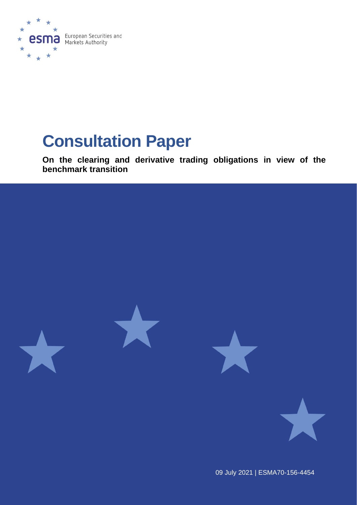

# **Consultation Paper**

**On the clearing and derivative trading obligations in view of the benchmark transition** 



09 July 2021 | ESMA70-156-4454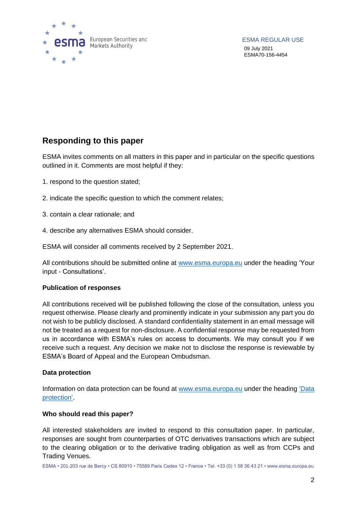

ESMA REGULAR USE 09 July 2021 ESMA70-156-4454

### **Responding to this paper**

ESMA invites comments on all matters in this paper and in particular on the specific questions outlined in it. Comments are most helpful if they:

- 1. respond to the question stated;
- 2. indicate the specific question to which the comment relates;
- 3. contain a clear rationale; and
- 4. describe any alternatives ESMA should consider.

ESMA will consider all comments received by 2 September 2021.

All contributions should be submitted online at [www.esma.europa.eu](http://www.esma.europa.eu/) under the heading 'Your input - Consultations'.

### **Publication of responses**

All contributions received will be published following the close of the consultation, unless you request otherwise. Please clearly and prominently indicate in your submission any part you do not wish to be publicly disclosed. A standard confidentiality statement in an email message will not be treated as a request for non-disclosure. A confidential response may be requested from us in accordance with ESMA's rules on access to documents. We may consult you if we receive such a request. Any decision we make not to disclose the response is reviewable by ESMA's Board of Appeal and the European Ombudsman.

### **Data protection**

Information on data protection can be found at [www.esma.europa.eu](http://www.esma.europa.eu/) under the heading 'Data [protection'](https://www.esma.europa.eu/about-esma/data-protection).

### **Who should read this paper?**

All interested stakeholders are invited to respond to this consultation paper. In particular, responses are sought from counterparties of OTC derivatives transactions which are subject to the clearing obligation or to the derivative trading obligation as well as from CCPs and Trading Venues.

ESMA • 201-203 rue de Bercy • CS 80910 • 75589 Paris Cedex 12 • France • Tel. +33 (0) 1 58 36 43 21 • www.esma.europa.eu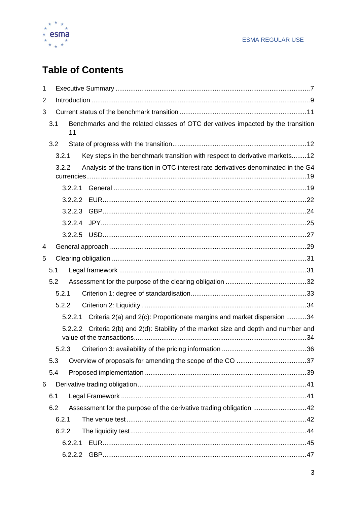

# **Table of Contents**

| $\mathbf 1$    |       |                                                                                          |  |  |  |  |  |  |
|----------------|-------|------------------------------------------------------------------------------------------|--|--|--|--|--|--|
| $\overline{2}$ |       |                                                                                          |  |  |  |  |  |  |
| 3              |       |                                                                                          |  |  |  |  |  |  |
|                | 3.1   | Benchmarks and the related classes of OTC derivatives impacted by the transition<br>11   |  |  |  |  |  |  |
|                | 3.2   |                                                                                          |  |  |  |  |  |  |
|                | 3.2.1 | Key steps in the benchmark transition with respect to derivative markets12               |  |  |  |  |  |  |
|                | 3.2.2 | Analysis of the transition in OTC interest rate derivatives denominated in the G4        |  |  |  |  |  |  |
|                |       | 3.2.2.1                                                                                  |  |  |  |  |  |  |
|                |       |                                                                                          |  |  |  |  |  |  |
|                |       | 3.2.2.3                                                                                  |  |  |  |  |  |  |
|                |       | 3.2.2.4                                                                                  |  |  |  |  |  |  |
|                |       | 3.2.2.5                                                                                  |  |  |  |  |  |  |
| 4              |       |                                                                                          |  |  |  |  |  |  |
| 5              |       |                                                                                          |  |  |  |  |  |  |
|                | 5.1   |                                                                                          |  |  |  |  |  |  |
|                | 5.2   |                                                                                          |  |  |  |  |  |  |
|                | 5.2.1 |                                                                                          |  |  |  |  |  |  |
|                | 5.2.2 |                                                                                          |  |  |  |  |  |  |
|                |       | 5.2.2.1 Criteria 2(a) and 2(c): Proportionate margins and market dispersion 34           |  |  |  |  |  |  |
|                |       | Criteria 2(b) and 2(d): Stability of the market size and depth and number and<br>5.2.2.2 |  |  |  |  |  |  |
|                | 5.2.3 |                                                                                          |  |  |  |  |  |  |
|                | 5.3   |                                                                                          |  |  |  |  |  |  |
|                | 5.4   |                                                                                          |  |  |  |  |  |  |
| 6              |       |                                                                                          |  |  |  |  |  |  |
|                | 6.1   |                                                                                          |  |  |  |  |  |  |
|                | 6.2   | Assessment for the purpose of the derivative trading obligation 42                       |  |  |  |  |  |  |
|                | 6.2.1 |                                                                                          |  |  |  |  |  |  |
|                | 6.2.2 |                                                                                          |  |  |  |  |  |  |
|                |       | 6.2.2.1                                                                                  |  |  |  |  |  |  |
|                |       | 6.2.2.2                                                                                  |  |  |  |  |  |  |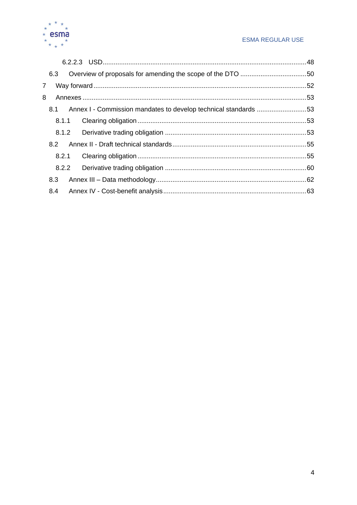

### **ESMA REGULAR USE**

| 6.3                                                                    |  |
|------------------------------------------------------------------------|--|
| $\overline{7}$                                                         |  |
| 8                                                                      |  |
| Annex I - Commission mandates to develop technical standards 53<br>8.1 |  |
| 8.1.1                                                                  |  |
| 8.1.2                                                                  |  |
|                                                                        |  |
| 8.2.1                                                                  |  |
| 8.2.2                                                                  |  |
| 8.3                                                                    |  |
| 8.4                                                                    |  |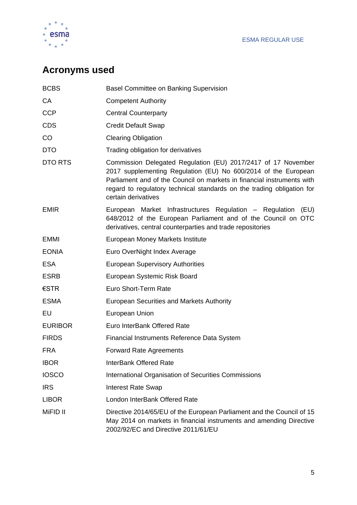

# **Acronyms used**

| <b>BCBS</b>    | <b>Basel Committee on Banking Supervision</b>                                                                                                                                                                                                                                                              |
|----------------|------------------------------------------------------------------------------------------------------------------------------------------------------------------------------------------------------------------------------------------------------------------------------------------------------------|
| СA             | <b>Competent Authority</b>                                                                                                                                                                                                                                                                                 |
| <b>CCP</b>     | <b>Central Counterparty</b>                                                                                                                                                                                                                                                                                |
| <b>CDS</b>     | <b>Credit Default Swap</b>                                                                                                                                                                                                                                                                                 |
| CO             | <b>Clearing Obligation</b>                                                                                                                                                                                                                                                                                 |
| <b>DTO</b>     | Trading obligation for derivatives                                                                                                                                                                                                                                                                         |
| DTO RTS        | Commission Delegated Regulation (EU) 2017/2417 of 17 November<br>2017 supplementing Regulation (EU) No 600/2014 of the European<br>Parliament and of the Council on markets in financial instruments with<br>regard to regulatory technical standards on the trading obligation for<br>certain derivatives |
| <b>EMIR</b>    | European Market Infrastructures Regulation - Regulation<br>(EU)<br>648/2012 of the European Parliament and of the Council on OTC<br>derivatives, central counterparties and trade repositories                                                                                                             |
| <b>EMMI</b>    | European Money Markets Institute                                                                                                                                                                                                                                                                           |
| <b>EONIA</b>   | Euro OverNight Index Average                                                                                                                                                                                                                                                                               |
| <b>ESA</b>     | <b>European Supervisory Authorities</b>                                                                                                                                                                                                                                                                    |
| <b>ESRB</b>    | European Systemic Risk Board                                                                                                                                                                                                                                                                               |
| $\epsilon$ STR | Euro Short-Term Rate                                                                                                                                                                                                                                                                                       |
| <b>ESMA</b>    | <b>European Securities and Markets Authority</b>                                                                                                                                                                                                                                                           |
| EU             | European Union                                                                                                                                                                                                                                                                                             |
| <b>EURIBOR</b> | Euro InterBank Offered Rate                                                                                                                                                                                                                                                                                |
| <b>FIRDS</b>   | Financial Instruments Reference Data System                                                                                                                                                                                                                                                                |
| <b>FRA</b>     | <b>Forward Rate Agreements</b>                                                                                                                                                                                                                                                                             |
| <b>IBOR</b>    | <b>InterBank Offered Rate</b>                                                                                                                                                                                                                                                                              |
| <b>IOSCO</b>   | International Organisation of Securities Commissions                                                                                                                                                                                                                                                       |
| <b>IRS</b>     | <b>Interest Rate Swap</b>                                                                                                                                                                                                                                                                                  |
| <b>LIBOR</b>   | London InterBank Offered Rate                                                                                                                                                                                                                                                                              |
| MiFID II       | Directive 2014/65/EU of the European Parliament and the Council of 15<br>May 2014 on markets in financial instruments and amending Directive<br>2002/92/EC and Directive 2011/61/EU                                                                                                                        |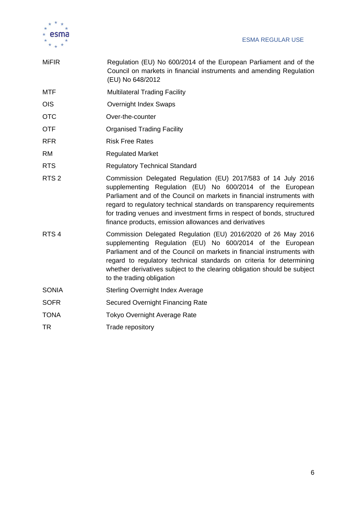

| <b>MiFIR</b>     | Regulation (EU) No 600/2014 of the European Parliament and of the<br>Council on markets in financial instruments and amending Regulation<br>(EU) No 648/2012                                                                                                                                                                                                                                                      |  |  |  |  |
|------------------|-------------------------------------------------------------------------------------------------------------------------------------------------------------------------------------------------------------------------------------------------------------------------------------------------------------------------------------------------------------------------------------------------------------------|--|--|--|--|
| <b>MTF</b>       | <b>Multilateral Trading Facility</b>                                                                                                                                                                                                                                                                                                                                                                              |  |  |  |  |
| <b>OIS</b>       | <b>Overnight Index Swaps</b>                                                                                                                                                                                                                                                                                                                                                                                      |  |  |  |  |
| <b>OTC</b>       | Over-the-counter                                                                                                                                                                                                                                                                                                                                                                                                  |  |  |  |  |
| <b>OTF</b>       | <b>Organised Trading Facility</b>                                                                                                                                                                                                                                                                                                                                                                                 |  |  |  |  |
| <b>RFR</b>       | <b>Risk Free Rates</b>                                                                                                                                                                                                                                                                                                                                                                                            |  |  |  |  |
| <b>RM</b>        | <b>Regulated Market</b>                                                                                                                                                                                                                                                                                                                                                                                           |  |  |  |  |
| <b>RTS</b>       | <b>Regulatory Technical Standard</b>                                                                                                                                                                                                                                                                                                                                                                              |  |  |  |  |
| RTS <sub>2</sub> | Commission Delegated Regulation (EU) 2017/583 of 14 July 2016<br>supplementing Regulation (EU) No 600/2014 of the European<br>Parliament and of the Council on markets in financial instruments with<br>regard to regulatory technical standards on transparency requirements<br>for trading venues and investment firms in respect of bonds, structured<br>finance products, emission allowances and derivatives |  |  |  |  |
| RTS <sub>4</sub> | Commission Delegated Regulation (EU) 2016/2020 of 26 May 2016<br>supplementing Regulation (EU) No 600/2014 of the European<br>Parliament and of the Council on markets in financial instruments with<br>regard to regulatory technical standards on criteria for determining<br>whether derivatives subject to the clearing obligation should be subject<br>to the trading obligation                             |  |  |  |  |
| <b>SONIA</b>     | <b>Sterling Overnight Index Average</b>                                                                                                                                                                                                                                                                                                                                                                           |  |  |  |  |
| <b>SOFR</b>      | Secured Overnight Financing Rate                                                                                                                                                                                                                                                                                                                                                                                  |  |  |  |  |
| <b>TONA</b>      | <b>Tokyo Overnight Average Rate</b>                                                                                                                                                                                                                                                                                                                                                                               |  |  |  |  |
| TR               | Trade repository                                                                                                                                                                                                                                                                                                                                                                                                  |  |  |  |  |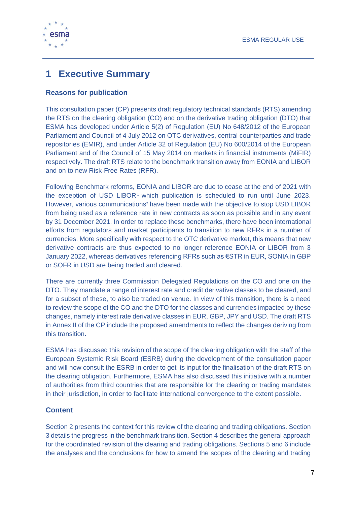

# <span id="page-6-0"></span>**1 Executive Summary**

### **Reasons for publication**

This consultation paper (CP) presents draft regulatory technical standards (RTS) amending the RTS on the clearing obligation (CO) and on the derivative trading obligation (DTO) that ESMA has developed under Article 5(2) of Regulation (EU) No 648/2012 of the European Parliament and Council of 4 July 2012 on OTC derivatives, central counterparties and trade repositories (EMIR), and under Article 32 of Regulation (EU) No 600/2014 of the European Parliament and of the Council of 15 May 2014 on markets in financial instruments (MiFIR) respectively. The draft RTS relate to the benchmark transition away from EONIA and LIBOR and on to new Risk-Free Rates (RFR).

Following Benchmark reforms, EONIA and LIBOR are due to cease at the end of 2021 with the exception of USD LIBOR<sup>1</sup> which publication is scheduled to run until June 2023. However, various communications<sup>2</sup> have been made with the objective to stop USD LIBOR from being used as a reference rate in new contracts as soon as possible and in any event by 31 December 2021. In order to replace these benchmarks, there have been international efforts from regulators and market participants to transition to new RFRs in a number of currencies. More specifically with respect to the OTC derivative market, this means that new derivative contracts are thus expected to no longer reference EONIA or LIBOR from 3 January 2022, whereas derivatives referencing RFRs such as €STR in EUR, SONIA in GBP or SOFR in USD are being traded and cleared.

There are currently three Commission Delegated Regulations on the CO and one on the DTO. They mandate a range of interest rate and credit derivative classes to be cleared, and for a subset of these, to also be traded on venue. In view of this transition, there is a need to review the scope of the CO and the DTO for the classes and currencies impacted by these changes, namely interest rate derivative classes in EUR, GBP, JPY and USD. The draft RTS in Annex II of the CP include the proposed amendments to reflect the changes deriving from this transition.

ESMA has discussed this revision of the scope of the clearing obligation with the staff of the European Systemic Risk Board (ESRB) during the development of the consultation paper and will now consult the ESRB in order to get its input for the finalisation of the draft RTS on the clearing obligation. Furthermore, ESMA has also discussed this initiative with a number of authorities from third countries that are responsible for the clearing or trading mandates in their jurisdiction, in order to facilitate international convergence to the extent possible.

### **Content**

Section 2 presents the context for this review of the clearing and trading obligations. Section 3 details the progress in the benchmark transition. Section 4 describes the general approach for the coordinated revision of the clearing and trading obligations. Sections 5 and 6 include the analyses and the conclusions for how to amend the scopes of the clearing and trading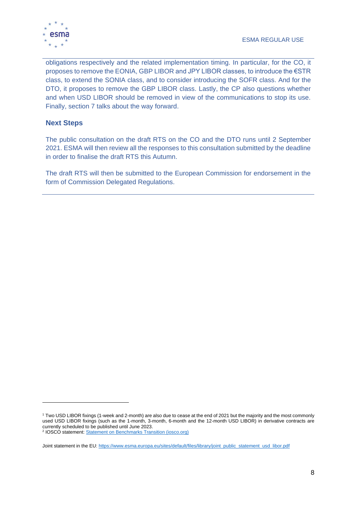

obligations respectively and the related implementation timing. In particular, for the CO, it proposes to remove the EONIA, GBP LIBOR and JPY LIBOR classes, to introduce the €STR class, to extend the SONIA class, and to consider introducing the SOFR class. And for the DTO, it proposes to remove the GBP LIBOR class. Lastly, the CP also questions whether and when USD LIBOR should be removed in view of the communications to stop its use. Finally, section 7 talks about the way forward.

### **Next Steps**

The public consultation on the draft RTS on the CO and the DTO runs until 2 September 2021. ESMA will then review all the responses to this consultation submitted by the deadline in order to finalise the draft RTS this Autumn.

The draft RTS will then be submitted to the European Commission for endorsement in the form of Commission Delegated Regulations.

<sup>1</sup> Two USD LIBOR fixings (1-week and 2-month) are also due to cease at the end of 2021 but the majority and the most commonly used USD LIBOR fixings (such as the 1-month, 3-month, 6-month and the 12-month USD LIBOR) in derivative contracts are currently scheduled to be published until June 2023.

<sup>2</sup> IOSCO statement[: Statement on Benchmarks Transition \(iosco.org\)](https://www.iosco.org/library/pubdocs/pdf/IOSCOPD676.pdf)

Joint statement in the EU[: https://www.esma.europa.eu/sites/default/files/library/joint\\_public\\_statement\\_usd\\_libor.pdf](https://www.esma.europa.eu/sites/default/files/library/joint_public_statement_usd_libor.pdf)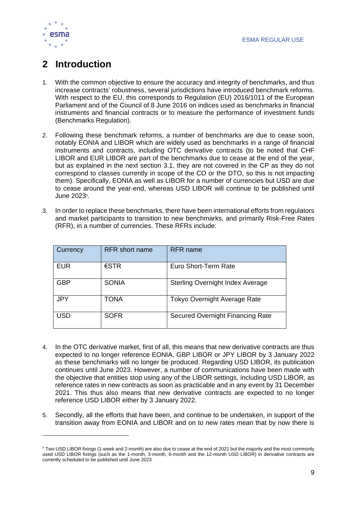

# <span id="page-8-0"></span>**2 Introduction**

- 1. With the common objective to ensure the accuracy and integrity of benchmarks, and thus increase contracts' robustness, several jurisdictions have introduced benchmark reforms. With respect to the EU, this corresponds to Regulation (EU) 2016/1011 of the European Parliament and of the Council of 8 June 2016 on indices used as benchmarks in financial instruments and financial contracts or to measure the performance of investment funds (Benchmarks Regulation).
- 2. Following these benchmark reforms, a number of benchmarks are due to cease soon, notably EONIA and LIBOR which are widely used as benchmarks in a range of financial instruments and contracts, including OTC derivative contracts (to be noted that CHF LIBOR and EUR LIBOR are part of the benchmarks due to cease at the end of the year, but as explained in the next section 3.1, they are not covered in the CP as they do not correspond to classes currently in scope of the CO or the DTO, so this is not impacting them). Specifically, EONIA as well as LIBOR for a number of currencies but USD are due to cease around the year-end, whereas USD LIBOR will continue to be published until June 2023<sup>3</sup>.
- 3. In order to replace these benchmarks, there have been international efforts from regulators and market participants to transition to new benchmarks, and primarily Risk-Free Rates (RFR), in a number of currencies. These RFRs include:

| Currency   | <b>RFR</b> short name | <b>RFR</b> name                         |
|------------|-----------------------|-----------------------------------------|
| <b>EUR</b> | $\epsilon$ STR        | Euro Short-Term Rate                    |
| <b>GBP</b> | <b>SONIA</b>          | <b>Sterling Overnight Index Average</b> |
| <b>JPY</b> | TONA                  | <b>Tokyo Overnight Average Rate</b>     |
| <b>USD</b> | <b>SOFR</b>           | Secured Overnight Financing Rate        |

- 4. In the OTC derivative market, first of all, this means that new derivative contracts are thus expected to no longer reference EONIA, GBP LIBOR or JPY LIBOR by 3 January 2022 as these benchmarks will no longer be produced. Regarding USD LIBOR, its publication continues until June 2023. However, a number of communications have been made with the objective that entities stop using any of the LIBOR settings, including USD LIBOR, as reference rates in new contracts as soon as practicable and in any event by 31 December 2021. This thus also means that new derivative contracts are expected to no longer reference USD LIBOR either by 3 January 2022.
- 5. Secondly, all the efforts that have been, and continue to be undertaken, in support of the transition away from EONIA and LIBOR and on to new rates mean that by now there is

<sup>&</sup>lt;sup>3</sup> Two USD LIBOR fixings (1-week and 2-month) are also due to cease at the end of 2021 but the majority and the most commonly used USD LIBOR fixings (such as the 1-month, 3-month, 6-month and the 12-month USD LIBOR) in derivative contracts are currently scheduled to be published until June 2023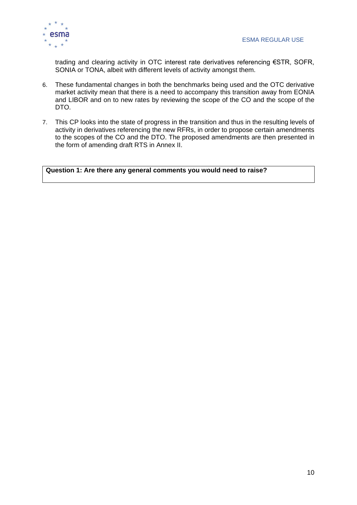trading and clearing activity in OTC interest rate derivatives referencing €STR, SOFR, SONIA or TONA, albeit with different levels of activity amongst them.

- 6. These fundamental changes in both the benchmarks being used and the OTC derivative market activity mean that there is a need to accompany this transition away from EONIA and LIBOR and on to new rates by reviewing the scope of the CO and the scope of the DTO.
- 7. This CP looks into the state of progress in the transition and thus in the resulting levels of activity in derivatives referencing the new RFRs, in order to propose certain amendments to the scopes of the CO and the DTO. The proposed amendments are then presented in the form of amending draft RTS in Annex II.

**Question 1: Are there any general comments you would need to raise?**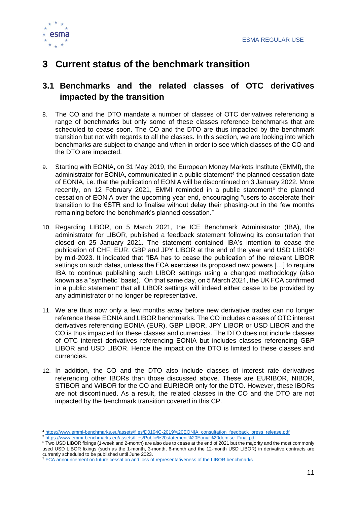

# <span id="page-10-0"></span>**3 Current status of the benchmark transition**

### <span id="page-10-1"></span>**3.1 Benchmarks and the related classes of OTC derivatives impacted by the transition**

- 8. The CO and the DTO mandate a number of classes of OTC derivatives referencing a range of benchmarks but only some of these classes reference benchmarks that are scheduled to cease soon. The CO and the DTO are thus impacted by the benchmark transition but not with regards to all the classes. In this section, we are looking into which benchmarks are subject to change and when in order to see which classes of the CO and the DTO are impacted.
- 9. Starting with EONIA, on 31 May 2019, the European Money Markets Institute (EMMI), the administrator for EONIA, communicated in a public statement<sup>4</sup> the planned cessation date of EONIA, i.e. that the publication of EONIA will be discontinued on 3 January 2022. More recently, on 12 February 2021, EMMI reminded in a public statement<sup>5</sup> the planned cessation of EONIA over the upcoming year end, encouraging "users to accelerate their transition to the €STR and to finalise without delay their phasing-out in the few months remaining before the benchmark's planned cessation."
- 10. Regarding LIBOR, on 5 March 2021, the ICE Benchmark Administrator (IBA), the administrator for LIBOR, published a feedback statement following its consultation that closed on 25 January 2021. The statement contained IBA's intention to cease the publication of CHF, EUR, GBP and JPY LIBOR at the end of the year and USD LIBOR<sup>6</sup> by mid-2023. It indicated that "IBA has to cease the publication of the relevant LIBOR settings on such dates, unless the FCA exercises its proposed new powers […] to require IBA to continue publishing such LIBOR settings using a changed methodology (also known as a "synthetic" basis)." On that same day, on 5 March 2021, the UK FCA confirmed in a public statement<sup>7</sup> that all LIBOR settings will indeed either cease to be provided by any administrator or no longer be representative.
- 11. We are thus now only a few months away before new derivative trades can no longer reference these EONIA and LIBOR benchmarks. The CO includes classes of OTC interest derivatives referencing EONIA (EUR), GBP LIBOR, JPY LIBOR or USD LIBOR and the CO is thus impacted for these classes and currencies. The DTO does not include classes of OTC interest derivatives referencing EONIA but includes classes referencing GBP LIBOR and USD LIBOR. Hence the impact on the DTO is limited to these classes and currencies.
- 12. In addition, the CO and the DTO also include classes of interest rate derivatives referencing other IBORs than those discussed above. These are EURIBOR, NIBOR, STIBOR and WIBOR for the CO and EURIBOR only for the DTO. However, these IBORs are not discontinued. As a result, the related classes in the CO and the DTO are not impacted by the benchmark transition covered in this CP.

<sup>4</sup> [https://www.emmi-benchmarks.eu/assets/files/D0194C-2019%20EONIA\\_consultation\\_feedback\\_press\\_release.pdf](https://www.emmi-benchmarks.eu/assets/files/D0194C-2019%20EONIA_consultation_feedback_press_release.pdf)

<sup>5</sup> [https://www.emmi-benchmarks.eu/assets/files/Public%20statement%20Eonia%20demise\\_Final.pdf](https://www.emmi-benchmarks.eu/assets/files/Public%20statement%20Eonia%20demise_Final.pdf)

<sup>&</sup>lt;sup>6</sup> Two USD LIBOR fixings (1-week and 2-month) are also due to cease at the end of 2021 but the majority and the most commonly used USD LIBOR fixings (such as the 1-month, 3-month, 6-month and the 12-month USD LIBOR) in derivative contracts are currently scheduled to be published until June 2023.

<sup>7</sup> [FCA announcement on future cessation and loss of representativeness of the LIBOR benchmarks](https://www.fca.org.uk/publication/documents/future-cessation-loss-representativeness-libor-benchmarks.pdf)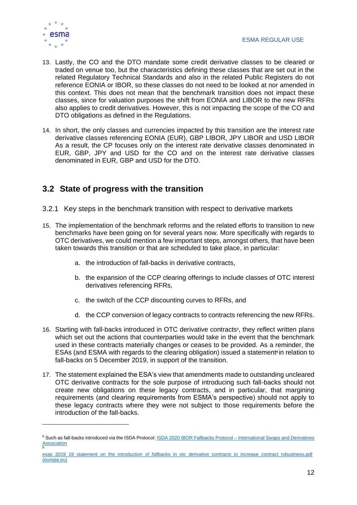

- 13. Lastly, the CO and the DTO mandate some credit derivative classes to be cleared or traded on venue too, but the characteristics defining these classes that are set out in the related Regulatory Technical Standards and also in the related Public Registers do not reference EONIA or IBOR, so these classes do not need to be looked at nor amended in this context. This does not mean that the benchmark transition does not impact these classes, since for valuation purposes the shift from EONIA and LIBOR to the new RFRs also applies to credit derivatives. However, this is not impacting the scope of the CO and DTO obligations as defined in the Regulations.
- 14. In short, the only classes and currencies impacted by this transition are the interest rate derivative classes referencing EONIA (EUR), GBP LIBOR, JPY LIBOR and USD LIBOR As a result, the CP focuses only on the interest rate derivative classes denominated in EUR, GBP, JPY and USD for the CO and on the interest rate derivative classes denominated in EUR, GBP and USD for the DTO.

### <span id="page-11-0"></span>**3.2 State of progress with the transition**

- <span id="page-11-1"></span>3.2.1 Key steps in the benchmark transition with respect to derivative markets
- 15. The implementation of the benchmark reforms and the related efforts to transition to new benchmarks have been going on for several years now. More specifically with regards to OTC derivatives, we could mention a few important steps, amongst others, that have been taken towards this transition or that are scheduled to take place, in particular:
	- a. the introduction of fall-backs in derivative contracts,
	- b. the expansion of the CCP clearing offerings to include classes of OTC interest derivatives referencing RFRs,
	- c. the switch of the CCP discounting curves to RFRs, and
	- d. the CCP conversion of legacy contracts to contracts referencing the new RFRs.
- 16. Starting with fall-backs introduced in OTC derivative contracts<sup>8</sup>, they reflect written plans which set out the actions that counterparties would take in the event that the benchmark used in these contracts materially changes or ceases to be provided. As a reminder, the ESAs (and ESMA with regards to the clearing obligation) issued a statement**<sup>9</sup>** in relation to fall-backs on 5 December 2019, in support of the transition.
- 17. The statement explained the ESA's view that amendments made to outstanding uncleared OTC derivative contracts for the sole purpose of introducing such fall-backs should not create new obligations on these legacy contracts, and in particular, that margining requirements (and clearing requirements from ESMA's perspective) should not apply to these legacy contracts where they were not subject to those requirements before the introduction of the fall-backs.

<sup>&</sup>lt;sup>8</sup> Such as fall-backs introduced via the ISDA Protocol[: ISDA 2020 IBOR Fallbacks Protocol –](https://www.isda.org/protocol/isda-2020-ibor-fallbacks-protocol/) International Swaps and Derivatives **[Association](https://www.isda.org/protocol/isda-2020-ibor-fallbacks-protocol/)** 9

esas\_2019\_19\_statement\_on\_the\_introduction\_of\_fallbacks\_in\_otc\_derivative\_contracts\_to\_increase\_contract\_robustness.pdf [\(europa.eu\)](https://www.esma.europa.eu/sites/default/files/library/esas_2019_19_statement_on_the_introduction_of_fallbacks_in_otc_derivative_contracts_to_increase_contract_robustness.pdf)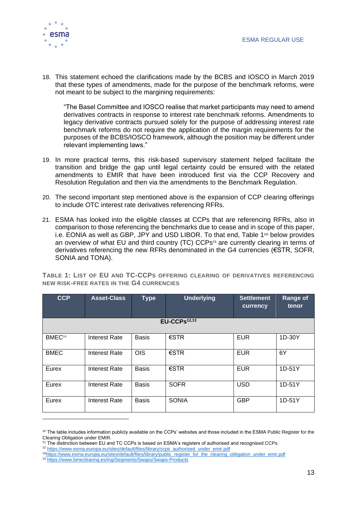

18. This statement echoed the clarifications made by the BCBS and IOSCO in March 2019 that these types of amendments, made for the purpose of the benchmark reforms, were not meant to be subject to the margining requirements:

"The Basel Committee and IOSCO realise that market participants may need to amend derivatives contracts in response to interest rate benchmark reforms. Amendments to legacy derivative contracts pursued solely for the purpose of addressing interest rate benchmark reforms do not require the application of the margin requirements for the purposes of the BCBS/IOSCO framework, although the position may be different under relevant implementing laws."

- 19. In more practical terms, this risk-based supervisory statement helped facilitate the transition and bridge the gap until legal certainty could be ensured with the related amendments to EMIR that have been introduced first via the CCP Recovery and Resolution Regulation and then via the amendments to the Benchmark Regulation.
- 20. The second important step mentioned above is the expansion of CCP clearing offerings to include OTC interest rate derivatives referencing RFRs.
- 21. ESMA has looked into the eligible classes at CCPs that are referencing RFRs, also in comparison to those referencing the benchmarks due to cease and in scope of this paper, i.e. EONIA as well as GBP, JPY and USD LIBOR. To that end, [Table 1](#page-12-0)<sup>10</sup> below provides an overview of what EU and third country (TC) CCPs<sup>11</sup> are currently clearing in terms of derivatives referencing the new RFRs denominated in the G4 currencies (€STR, SOFR, SONIA and TONA).

<span id="page-12-0"></span>**TABLE 1: LIST OF EU AND TC-CCPS OFFERING CLEARING OF DERIVATIVES REFERENCING NEW RISK-FREE RATES IN THE G4 CURRENCIES**

| <b>CCP</b>         | <b>Asset-Class</b>   | <b>Type</b>  | <b>Underlying</b> | <b>Settlement</b><br>currency | <b>Range of</b><br>tenor |  |  |
|--------------------|----------------------|--------------|-------------------|-------------------------------|--------------------------|--|--|
|                    | $EU-CCPs12,13$       |              |                   |                               |                          |  |  |
| BMEC <sup>14</sup> | <b>Interest Rate</b> | <b>Basis</b> | $\epsilon$ STR    | <b>EUR</b>                    | 1D-30Y                   |  |  |
| <b>BMEC</b>        | Interest Rate        | <b>OIS</b>   | $\epsilon$ STR    | <b>EUR</b>                    | 6Y                       |  |  |
| Eurex              | Interest Rate        | <b>Basis</b> | $\epsilon$ STR    | <b>EUR</b>                    | $1D-51Y$                 |  |  |
| Eurex              | <b>Interest Rate</b> | <b>Basis</b> | <b>SOFR</b>       | <b>USD</b>                    | $1D-51Y$                 |  |  |
| Eurex              | Interest Rate        | <b>Basis</b> | <b>SONIA</b>      | <b>GBP</b>                    | 1D-51Y                   |  |  |

<sup>&</sup>lt;sup>10</sup> The table includes information publicly available on the CCPs' websites and those included in the ESMA Public Register for the Clearing Obligation under EMIR.

<sup>12</sup> [https://www.esma.europa.eu/sites/default/files/library/ccps\\_authorised\\_under\\_emir.pdf](https://www.esma.europa.eu/sites/default/files/library/ccps_authorised_under_emir.pdf)

<sup>&</sup>lt;sup>11</sup> The distinction between EU and TC CCPs is based on ESMA's registers of authorised and recognised CCPs.

<sup>13</sup>[https://www.esma.europa.eu/sites/default/files/library/public\\_register\\_for\\_the\\_clearing\\_obligation\\_under\\_emir.pdf](https://www.esma.europa.eu/sites/default/files/library/public_register_for_the_clearing_obligation_under_emir.pdf)

<sup>14</sup> <https://www.bmeclearing.es/ing/Segments/Swaps/Swaps-Products>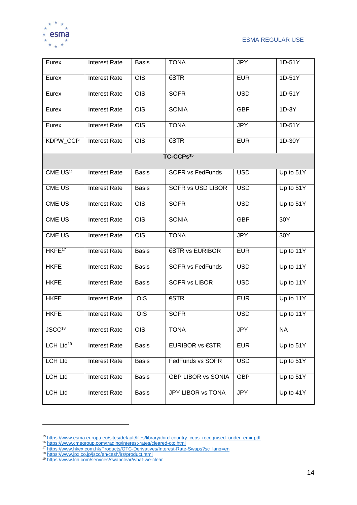

ESMA REGULAR USE

| Eurex                 | <b>Interest Rate</b> | <b>Basis</b> | <b>TONA</b>               | <b>JPY</b> | 1D-51Y      |
|-----------------------|----------------------|--------------|---------------------------|------------|-------------|
| Eurex                 | <b>Interest Rate</b> | <b>OIS</b>   | €STR                      | <b>EUR</b> | $1D-51Y$    |
| Eurex                 | <b>Interest Rate</b> | <b>OIS</b>   | <b>SOFR</b>               | <b>USD</b> | $1D-51Y$    |
| Eurex                 | <b>Interest Rate</b> | <b>OIS</b>   | <b>SONIA</b>              | <b>GBP</b> | $1D-3Y$     |
| Eurex                 | <b>Interest Rate</b> | <b>OIS</b>   | <b>TONA</b>               | <b>JPY</b> | 1D-51Y      |
| KDPW_CCP              | <b>Interest Rate</b> | <b>OIS</b>   | €STR                      | <b>EUR</b> | 1D-30Y      |
|                       |                      |              | TC-CCPs <sup>15</sup>     |            |             |
| CME US <sup>16</sup>  | <b>Interest Rate</b> | <b>Basis</b> | <b>SOFR vs FedFunds</b>   | <b>USD</b> | Up to 51Y   |
| <b>CME US</b>         | <b>Interest Rate</b> | <b>Basis</b> | SOFR vs USD LIBOR         | <b>USD</b> | Up to 51Y   |
| CME US                | <b>Interest Rate</b> | <b>OIS</b>   | <b>SOFR</b>               | <b>USD</b> | Up to 51Y   |
| CME US                | <b>Interest Rate</b> | <b>OIS</b>   | <b>SONIA</b>              | <b>GBP</b> | 30Y         |
| CME US                | <b>Interest Rate</b> | <b>OIS</b>   | <b>TONA</b>               | <b>JPY</b> | 30Y         |
| HKFE <sup>17</sup>    | <b>Interest Rate</b> | <b>Basis</b> | €STR vs EURIBOR           | <b>EUR</b> | Up to 11Y   |
| <b>HKFE</b>           | <b>Interest Rate</b> | <b>Basis</b> | <b>SOFR vs FedFunds</b>   | <b>USD</b> | Up to 11Y   |
| <b>HKFE</b>           | <b>Interest Rate</b> | <b>Basis</b> | <b>SOFR vs LIBOR</b>      | <b>USD</b> | Up to 11Y   |
| <b>HKFE</b>           | <b>Interest Rate</b> | <b>OIS</b>   | €STR                      | <b>EUR</b> | Up to 11Y   |
| <b>HKFE</b>           | <b>Interest Rate</b> | <b>OIS</b>   | <b>SOFR</b>               | <b>USD</b> | Up to 11Y   |
| JSCC <sup>18</sup>    | Interest Rate        | OIS          | <b>TONA</b>               | <b>JPY</b> | <b>NA</b>   |
| LCH Ltd <sup>19</sup> | <b>Interest Rate</b> | <b>Basis</b> | <b>EURIBOR vs €STR</b>    | <b>EUR</b> | Up to 51Y   |
| <b>LCH Ltd</b>        | Interest Rate        | <b>Basis</b> | FedFunds vs SOFR          | <b>USD</b> | Up to $51Y$ |
| <b>LCH Ltd</b>        | <b>Interest Rate</b> | <b>Basis</b> | <b>GBP LIBOR vs SONIA</b> | <b>GBP</b> | Up to $51Y$ |
| <b>LCH Ltd</b>        | <b>Interest Rate</b> | <b>Basis</b> | <b>JPY LIBOR vs TONA</b>  | JPY        | Up to 41Y   |

<sup>15</sup> [https://www.esma.europa.eu/sites/default/files/library/third-country\\_ccps\\_recognised\\_under\\_emir.pdf](https://www.esma.europa.eu/sites/default/files/library/third-country_ccps_recognised_under_emir.pdf)

<sup>16</sup> <https://www.cmegroup.com/trading/interest-rates/cleared-otc.html>

<sup>17</sup> [https://www.hkex.com.hk/Products/OTC-Derivatives/Interest-Rate-Swaps?sc\\_lang=en](https://www.hkex.com.hk/Products/OTC-Derivatives/Interest-Rate-Swaps?sc_lang=en)

<sup>18</sup> <https://www.jpx.co.jp/jscc/en/cash/irs/product.html>

<sup>19</sup> <https://www.lch.com/services/swapclear/what-we-clear>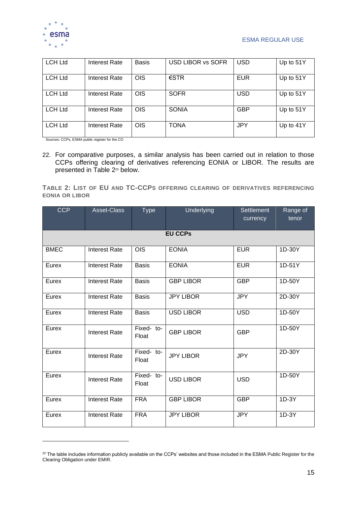

| <b>LCH Ltd</b> | Interest Rate | <b>Basis</b> | <b>USD LIBOR vs SOFR</b> | <b>USD</b> | Up to 51Y |
|----------------|---------------|--------------|--------------------------|------------|-----------|
| <b>LCH Ltd</b> | Interest Rate | OIS          | $\epsilon$ STR           | <b>EUR</b> | Up to 51Y |
| <b>LCH Ltd</b> | Interest Rate | <b>OIS</b>   | <b>SOFR</b>              | <b>USD</b> | Up to 51Y |
| <b>LCH Ltd</b> | Interest Rate | <b>OIS</b>   | <b>SONIA</b>             | <b>GBP</b> | Up to 51Y |
| <b>LCH Ltd</b> | Interest Rate | <b>OIS</b>   | TONA                     | JPY        | Up to 41Y |

Sources: CCPs, ESMA public register for the CO

22. For comparative purposes, a similar analysis has been carried out in relation to those CCPs offering clearing of derivatives referencing EONIA or LIBOR. The results are presented in [Table 2](#page-14-0)<sup>20</sup> below.

<span id="page-14-0"></span>**TABLE 2: LIST OF EU AND TC-CCPS OFFERING CLEARING OF DERIVATIVES REFERENCING EONIA OR LIBOR**

| <b>CCP</b>  | Asset-Class          | <b>Type</b>         | Underlying       | <b>Settlement</b><br>currency | Range of<br>tenor |
|-------------|----------------------|---------------------|------------------|-------------------------------|-------------------|
|             |                      |                     | <b>EU CCPs</b>   |                               |                   |
| <b>BMEC</b> | <b>Interest Rate</b> | <b>OIS</b>          | <b>EONIA</b>     | <b>EUR</b>                    | 1D-30Y            |
| Eurex       | <b>Interest Rate</b> | <b>Basis</b>        | <b>EONIA</b>     | <b>EUR</b>                    | 1D-51Y            |
| Eurex       | <b>Interest Rate</b> | <b>Basis</b>        | <b>GBP LIBOR</b> | <b>GBP</b>                    | 1D-50Y            |
| Eurex       | <b>Interest Rate</b> | <b>Basis</b>        | <b>JPY LIBOR</b> | <b>JPY</b>                    | 2D-30Y            |
| Eurex       | <b>Interest Rate</b> | <b>Basis</b>        | <b>USD LIBOR</b> | <b>USD</b>                    | 1D-50Y            |
| Eurex       | <b>Interest Rate</b> | Fixed- to-<br>Float | <b>GBP LIBOR</b> | <b>GBP</b>                    | 1D-50Y            |
| Eurex       | <b>Interest Rate</b> | Fixed- to-<br>Float | <b>JPY LIBOR</b> | <b>JPY</b>                    | 2D-30Y            |
| Eurex       | <b>Interest Rate</b> | Fixed- to-<br>Float | <b>USD LIBOR</b> | <b>USD</b>                    | 1D-50Y            |
| Eurex       | <b>Interest Rate</b> | <b>FRA</b>          | <b>GBP LIBOR</b> | <b>GBP</b>                    | $1D-3Y$           |
| Eurex       | <b>Interest Rate</b> | <b>FRA</b>          | <b>JPY LIBOR</b> | <b>JPY</b>                    | $1D-3Y$           |

<sup>&</sup>lt;sup>20</sup> The table includes information publicly available on the CCPs' websites and those included in the ESMA Public Register for the Clearing Obligation under EMIR.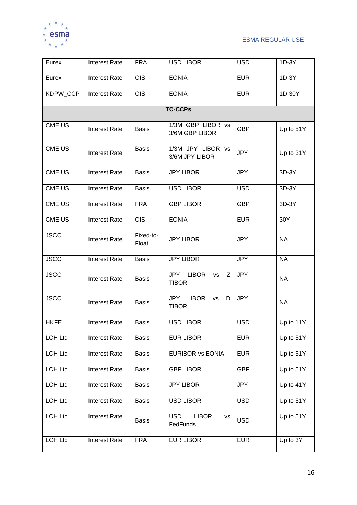

| Eurex          | <b>Interest Rate</b> | <b>FRA</b>         | <b>USD LIBOR</b>                                             | <b>USD</b> | $1D-3Y$   |  |  |  |  |
|----------------|----------------------|--------------------|--------------------------------------------------------------|------------|-----------|--|--|--|--|
| Eurex          | <b>Interest Rate</b> | <b>OIS</b>         | <b>EONIA</b>                                                 | <b>EUR</b> | $1D-3Y$   |  |  |  |  |
| KDPW_CCP       | <b>Interest Rate</b> | <b>OIS</b>         | <b>EONIA</b>                                                 | <b>EUR</b> | 1D-30Y    |  |  |  |  |
|                | <b>TC-CCPs</b>       |                    |                                                              |            |           |  |  |  |  |
| <b>CME US</b>  | <b>Interest Rate</b> | <b>Basis</b>       | 1/3M GBP LIBOR vs<br>3/6M GBP LIBOR                          | <b>GBP</b> | Up to 51Y |  |  |  |  |
| CME US         | <b>Interest Rate</b> | <b>Basis</b>       | 1/3M JPY LIBOR vs<br>3/6M JPY LIBOR                          | <b>JPY</b> | Up to 31Y |  |  |  |  |
| <b>CME US</b>  | <b>Interest Rate</b> | <b>Basis</b>       | <b>JPY LIBOR</b>                                             | <b>JPY</b> | 3D-3Y     |  |  |  |  |
| <b>CME US</b>  | <b>Interest Rate</b> | <b>Basis</b>       | <b>USD LIBOR</b>                                             | <b>USD</b> | 3D-3Y     |  |  |  |  |
| <b>CME US</b>  | <b>Interest Rate</b> | <b>FRA</b>         | <b>GBP LIBOR</b>                                             | <b>GBP</b> | 3D-3Y     |  |  |  |  |
| <b>CME US</b>  | <b>Interest Rate</b> | $\overline{OS}$    | <b>EONIA</b>                                                 | <b>EUR</b> | 30Y       |  |  |  |  |
| <b>JSCC</b>    | <b>Interest Rate</b> | Fixed-to-<br>Float | <b>JPY LIBOR</b>                                             | <b>JPY</b> | <b>NA</b> |  |  |  |  |
| <b>JSCC</b>    | <b>Interest Rate</b> | <b>Basis</b>       | <b>JPY LIBOR</b>                                             | <b>JPY</b> | <b>NA</b> |  |  |  |  |
| <b>JSCC</b>    | <b>Interest Rate</b> | <b>Basis</b>       | <b>LIBOR</b><br><b>JPY</b><br><b>VS</b><br>Z<br><b>TIBOR</b> | <b>JPY</b> | <b>NA</b> |  |  |  |  |
| <b>JSCC</b>    | <b>Interest Rate</b> | <b>Basis</b>       | JPY LIBOR<br>D<br><b>VS</b><br><b>TIBOR</b>                  | <b>JPY</b> | <b>NA</b> |  |  |  |  |
| <b>HKFE</b>    | <b>Interest Rate</b> | <b>Basis</b>       | <b>USD LIBOR</b>                                             | <b>USD</b> | Up to 11Y |  |  |  |  |
| <b>LCH Ltd</b> | Interest Rate        | <b>Basis</b>       | <b>EUR LIBOR</b>                                             | <b>EUR</b> | Up to 51Y |  |  |  |  |
| <b>LCH Ltd</b> | <b>Interest Rate</b> | <b>Basis</b>       | <b>EURIBOR vs EONIA</b>                                      | <b>EUR</b> | Up to 51Y |  |  |  |  |
| <b>LCH Ltd</b> | <b>Interest Rate</b> | <b>Basis</b>       | <b>GBP LIBOR</b>                                             | <b>GBP</b> | Up to 51Y |  |  |  |  |
| <b>LCH Ltd</b> | <b>Interest Rate</b> | <b>Basis</b>       | <b>JPY LIBOR</b>                                             | <b>JPY</b> | Up to 41Y |  |  |  |  |
| <b>LCH Ltd</b> | <b>Interest Rate</b> | <b>Basis</b>       | <b>USD LIBOR</b>                                             | <b>USD</b> | Up to 51Y |  |  |  |  |
| <b>LCH Ltd</b> | <b>Interest Rate</b> | <b>Basis</b>       | <b>LIBOR</b><br><b>USD</b><br><b>VS</b><br>FedFunds          | <b>USD</b> | Up to 51Y |  |  |  |  |
| <b>LCH Ltd</b> | Interest Rate        | <b>FRA</b>         | <b>EUR LIBOR</b>                                             | <b>EUR</b> | Up to 3Y  |  |  |  |  |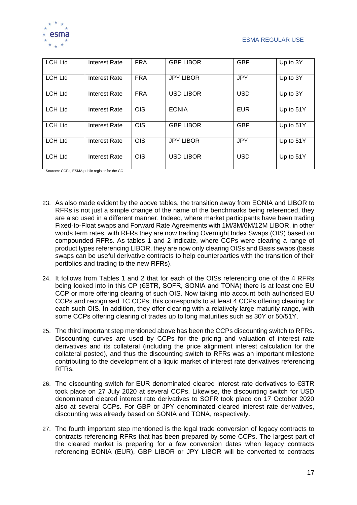

| <b>LCH Ltd</b> | Interest Rate        | <b>FRA</b> | <b>GBP LIBOR</b> | <b>GBP</b> | Up to 3Y  |
|----------------|----------------------|------------|------------------|------------|-----------|
| <b>LCH Ltd</b> | Interest Rate        | <b>FRA</b> | <b>JPY LIBOR</b> | <b>JPY</b> | Up to 3Y  |
| <b>LCH Ltd</b> | Interest Rate        | <b>FRA</b> | <b>USD LIBOR</b> | <b>USD</b> | Up to 3Y  |
| <b>LCH Ltd</b> | Interest Rate        | <b>OIS</b> | <b>EONIA</b>     | <b>EUR</b> | Up to 51Y |
| <b>LCH Ltd</b> | Interest Rate        | <b>OIS</b> | <b>GBP LIBOR</b> | <b>GBP</b> | Up to 51Y |
| <b>LCH Ltd</b> | <b>Interest Rate</b> | <b>OIS</b> | <b>JPY LIBOR</b> | <b>JPY</b> | Up to 51Y |
| <b>LCH Ltd</b> | Interest Rate        | <b>OIS</b> | <b>USD LIBOR</b> | <b>USD</b> | Up to 51Y |

Sources: CCPs, ESMA public register for the CO

- 23. As also made evident by the above tables, the transition away from EONIA and LIBOR to RFRs is not just a simple change of the name of the benchmarks being referenced, they are also used in a different manner. Indeed, where market participants have been trading Fixed-to-Float swaps and Forward Rate Agreements with 1M/3M/6M/12M LIBOR, in other words term rates, with RFRs they are now trading Overnight Index Swaps (OIS) based on compounded RFRs. As tables 1 and 2 indicate, where CCPs were clearing a range of product types referencing LIBOR, they are now only clearing OISs and Basis swaps (basis swaps can be useful derivative contracts to help counterparties with the transition of their portfolios and trading to the new RFRs).
- 24. It follows from Tables 1 and 2 that for each of the OISs referencing one of the 4 RFRs being looked into in this CP (€STR, SOFR, SONIA and TONA) there is at least one EU CCP or more offering clearing of such OIS. Now taking into account both authorised EU CCPs and recognised TC CCPs, this corresponds to at least 4 CCPs offering clearing for each such OIS. In addition, they offer clearing with a relatively large maturity range, with some CCPs offering clearing of trades up to long maturities such as 30Y or 50/51Y.
- 25. The third important step mentioned above has been the CCPs discounting switch to RFRs. Discounting curves are used by CCPs for the pricing and valuation of interest rate derivatives and its collateral (including the price alignment interest calculation for the collateral posted), and thus the discounting switch to RFRs was an important milestone contributing to the development of a liquid market of interest rate derivatives referencing RFRs.
- 26. The discounting switch for EUR denominated cleared interest rate derivatives to €STR took place on 27 July 2020 at several CCPs. Likewise, the discounting switch for USD denominated cleared interest rate derivatives to SOFR took place on 17 October 2020 also at several CCPs. For GBP or JPY denominated cleared interest rate derivatives, discounting was already based on SONIA and TONA, respectively.
- 27. The fourth important step mentioned is the legal trade conversion of legacy contracts to contracts referencing RFRs that has been prepared by some CCPs. The largest part of the cleared market is preparing for a few conversion dates when legacy contracts referencing EONIA (EUR), GBP LIBOR or JPY LIBOR will be converted to contracts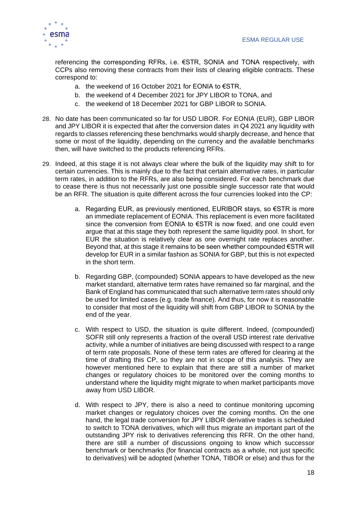

referencing the corresponding RFRs, i.e. €STR, SONIA and TONA respectively, with CCPs also removing these contracts from their lists of clearing eligible contracts. These correspond to:

- a. the weekend of 16 October 2021 for EONIA to €STR,
- b. the weekend of 4 December 2021 for JPY LIBOR to TONA, and
- c. the weekend of 18 December 2021 for GBP LIBOR to SONIA.
- 28. No date has been communicated so far for USD LIBOR. For EONIA (EUR), GBP LIBOR and JPY LIBOR it is expected that after the conversion dates in Q4 2021 any liquidity with regards to classes referencing these benchmarks would sharply decrease, and hence that some or most of the liquidity, depending on the currency and the available benchmarks then, will have switched to the products referencing RFRs.
- 29. Indeed, at this stage it is not always clear where the bulk of the liquidity may shift to for certain currencies. This is mainly due to the fact that certain alternative rates, in particular term rates, in addition to the RFRs, are also being considered. For each benchmark due to cease there is thus not necessarily just one possible single successor rate that would be an RFR. The situation is quite different across the four currencies looked into the CP:
	- a. Regarding EUR, as previously mentioned, EURIBOR stays, so €STR is more an immediate replacement of EONIA. This replacement is even more facilitated since the conversion from EONIA to €STR is now fixed, and one could even argue that at this stage they both represent the same liquidity pool. In short, for EUR the situation is relatively clear as one overnight rate replaces another. Beyond that, at this stage it remains to be seen whether compounded €STR will develop for EUR in a similar fashion as SONIA for GBP, but this is not expected in the short term.
	- b. Regarding GBP, (compounded) SONIA appears to have developed as the new market standard, alternative term rates have remained so far marginal, and the Bank of England has communicated that such alternative term rates should only be used for limited cases (e.g. trade finance). And thus, for now it is reasonable to consider that most of the liquidity will shift from GBP LIBOR to SONIA by the end of the year.
	- c. With respect to USD, the situation is quite different. Indeed, (compounded) SOFR still only represents a fraction of the overall USD interest rate derivative activity, while a number of initiatives are being discussed with respect to a range of term rate proposals. None of these term rates are offered for clearing at the time of drafting this CP, so they are not in scope of this analysis. They are however mentioned here to explain that there are still a number of market changes or regulatory choices to be monitored over the coming months to understand where the liquidity might migrate to when market participants move away from USD LIBOR.
	- d. With respect to JPY, there is also a need to continue monitoring upcoming market changes or regulatory choices over the coming months. On the one hand, the legal trade conversion for JPY LIBOR derivative trades is scheduled to switch to TONA derivatives, which will thus migrate an important part of the outstanding JPY risk to derivatives referencing this RFR. On the other hand, there are still a number of discussions ongoing to know which successor benchmark or benchmarks (for financial contracts as a whole, not just specific to derivatives) will be adopted (whether TONA, TIBOR or else) and thus for the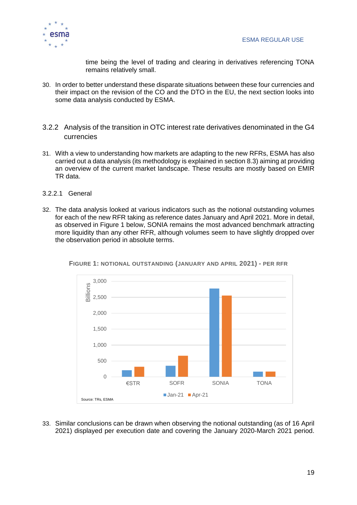

time being the level of trading and clearing in derivatives referencing TONA remains relatively small.

- 30. In order to better understand these disparate situations between these four currencies and their impact on the revision of the CO and the DTO in the EU, the next section looks into some data analysis conducted by ESMA.
- <span id="page-18-0"></span>3.2.2 Analysis of the transition in OTC interest rate derivatives denominated in the G4 currencies
- 31. With a view to understanding how markets are adapting to the new RFRs, ESMA has also carried out a data analysis (its methodology is explained in section 8.3) aiming at providing an overview of the current market landscape. These results are mostly based on EMIR TR data.
- <span id="page-18-1"></span>3.2.2.1 General
- 32. The data analysis looked at various indicators such as the notional outstanding volumes for each of the new RFR taking as reference dates January and April 2021. More in detail, as observed in [Figure 1](#page-18-2) below, SONIA remains the most advanced benchmark attracting more liquidity than any other RFR, although volumes seem to have slightly dropped over the observation period in absolute terms.



<span id="page-18-2"></span>**FIGURE 1: NOTIONAL OUTSTANDING (JANUARY AND APRIL 2021) - PER RFR**

33. Similar conclusions can be drawn when observing the notional outstanding (as of 16 April 2021) displayed per execution date and covering the January 2020-March 2021 period.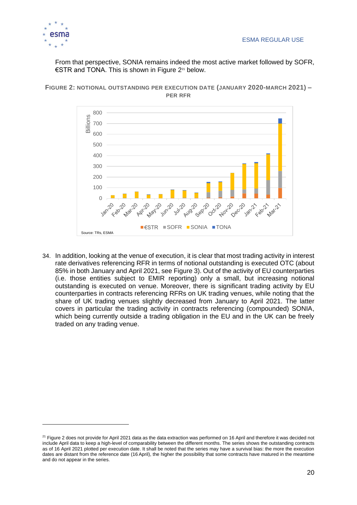

From that perspective, SONIA remains indeed the most active market followed by SOFR, €STR and TONA. This is shown in [Figure 2](#page-19-0)<sup>21</sup> below.

<span id="page-19-0"></span>



34. In addition, looking at the venue of execution, it is clear that most trading activity in interest rate derivatives referencing RFR in terms of notional outstanding is executed OTC (about 85% in both January and April 2021, see [Figure 3\)](#page-20-0). Out of the activity of EU counterparties (i.e. those entities subject to EMIR reporting) only a small, but increasing notional outstanding is executed on venue. Moreover, there is significant trading activity by EU counterparties in contracts referencing RFRs on UK trading venues, while noting that the share of UK trading venues slightly decreased from January to April 2021. The latter covers in particular the trading activity in contracts referencing (compounded) SONIA, which being currently outside a trading obligation in the EU and in the UK can be freely traded on any trading venue.

<sup>&</sup>lt;sup>21</sup> Figure 2 does not provide for April 2021 data as the data extraction was performed on 16 April and therefore it was decided not include April data to keep a high-level of comparability between the different months. The series shows the outstanding contracts as of 16 April 2021 plotted per execution date. It shall be noted that the series may have a survival bias: the more the execution dates are distant from the reference date (16 April), the higher the possibility that some contracts have matured in the meantime and do not appear in the series.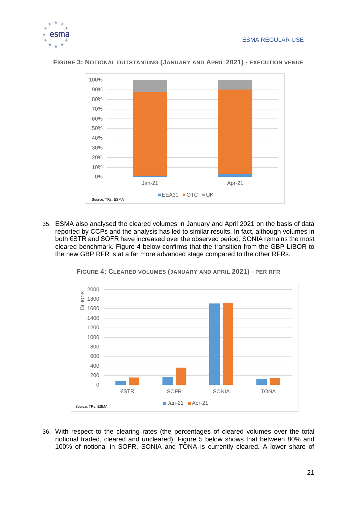



#### <span id="page-20-0"></span>**FIGURE 3: NOTIONAL OUTSTANDING (JANUARY AND APRIL 2021) - EXECUTION VENUE**

35. ESMA also analysed the cleared volumes in January and April 2021 on the basis of data reported by CCPs and the analysis has led to similar results. In fact, although volumes in both €STR and SOFR have increased over the observed period, SONIA remains the most cleared benchmark. [Figure 4](#page-20-1) below confirms that the transition from the GBP LIBOR to the new GBP RFR is at a far more advanced stage compared to the other RFRs.

<span id="page-20-1"></span>

**FIGURE 4: CLEARED VOLUMES (JANUARY AND APRIL 2021) - PER RFR**

36. With respect to the clearing rates (the percentages of cleared volumes over the total notional traded, cleared and uncleared), [Figure 5](#page-21-1) below shows that between 80% and 100% of notional in SOFR, SONIA and TONA is currently cleared. A lower share of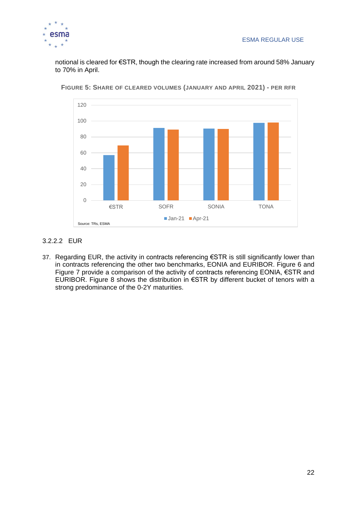

notional is cleared for €STR, though the clearing rate increased from around 58% January to 70% in April.



<span id="page-21-1"></span>**FIGURE 5: SHARE OF CLEARED VOLUMES (JANUARY AND APRIL 2021) - PER RFR**

### <span id="page-21-0"></span>3.2.2.2 EUR

37. Regarding EUR, the activity in contracts referencing €STR is still significantly lower than in contracts referencing the other two benchmarks, EONIA and EURIBOR. [Figure 6](#page-22-0) and [Figure 7](#page-22-1) provide a comparison of the activity of contracts referencing EONIA, €STR and EURIBOR. [Figure 8](#page-23-1) shows the distribution in  $\epsilon$ STR by different bucket of tenors with a strong predominance of the 0-2Y maturities.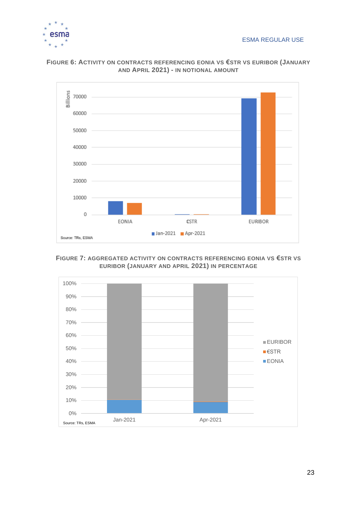



### <span id="page-22-0"></span>**FIGURE 6: ACTIVITY ON CONTRACTS REFERENCING EONIA VS €STR VS EURIBOR (JANUARY AND APRIL 2021) - IN NOTIONAL AMOUNT**

### <span id="page-22-1"></span>**FIGURE 7: AGGREGATED ACTIVITY ON CONTRACTS REFERENCING EONIA VS €STR VS EURIBOR (JANUARY AND APRIL 2021) IN PERCENTAGE**

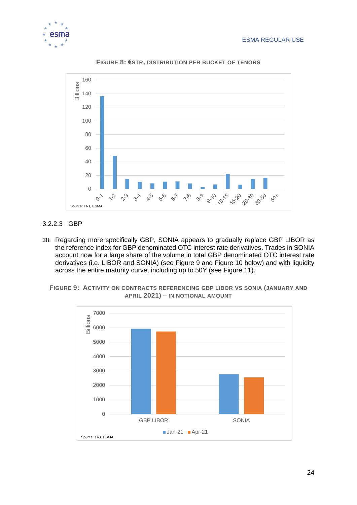

<span id="page-23-1"></span>

**FIGURE 8: €STR, DISTRIBUTION PER BUCKET OF TENORS**

### <span id="page-23-0"></span>3.2.2.3 GBP

38. Regarding more specifically GBP, SONIA appears to gradually replace GBP LIBOR as the reference index for GBP denominated OTC interest rate derivatives. Trades in SONIA account now for a large share of the volume in total GBP denominated OTC interest rate derivatives (i.e. LIBOR and SONIA) (see [Figure 9](#page-23-2) and [Figure 10](#page-24-1) below) and with liquidity across the entire maturity curve, including up to 50Y (see [Figure 11\)](#page-24-2).

<span id="page-23-2"></span>

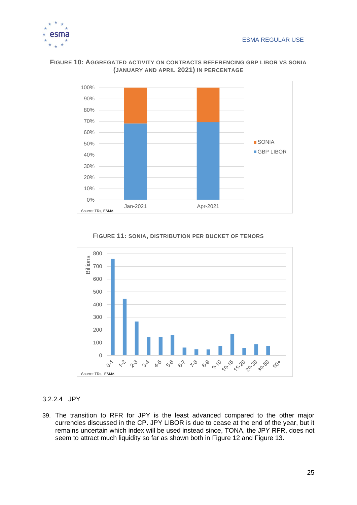



#### <span id="page-24-1"></span>**FIGURE 10: AGGREGATED ACTIVITY ON CONTRACTS REFERENCING GBP LIBOR VS SONIA (JANUARY AND APRIL 2021) IN PERCENTAGE**

**FIGURE 11: SONIA, DISTRIBUTION PER BUCKET OF TENORS**

<span id="page-24-2"></span>

### <span id="page-24-0"></span>3.2.2.4 JPY

39. The transition to RFR for JPY is the least advanced compared to the other major currencies discussed in the CP. JPY LIBOR is due to cease at the end of the year, but it remains uncertain which index will be used instead since, TONA, the JPY RFR, does not seem to attract much liquidity so far as shown both in [Figure 12](#page-25-0) and [Figure 13.](#page-25-1)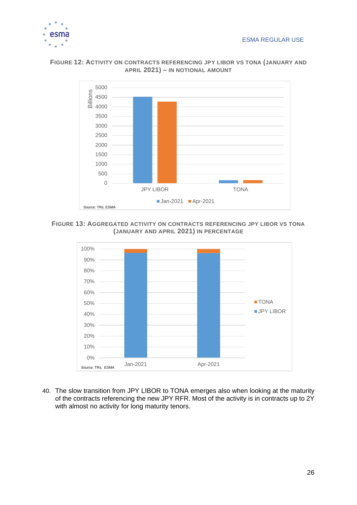



#### <span id="page-25-0"></span>**FIGURE 12: ACTIVITY ON CONTRACTS REFERENCING JPY LIBOR VS TONA (JANUARY AND APRIL 2021) – IN NOTIONAL AMOUNT**

<span id="page-25-1"></span>**FIGURE 13: AGGREGATED ACTIVITY ON CONTRACTS REFERENCING JPY LIBOR VS TONA (JANUARY AND APRIL 2021) IN PERCENTAGE**



40. The slow transition from JPY LIBOR to TONA emerges also when looking at the maturity of the contracts referencing the new JPY RFR. Most of the activity is in contracts up to 2Y with almost no activity for long maturity tenors.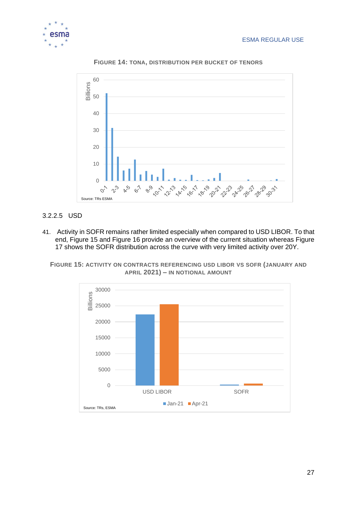



**FIGURE 14: TONA, DISTRIBUTION PER BUCKET OF TENORS**

### <span id="page-26-0"></span>3.2.2.5 USD

41. Activity in SOFR remains rather limited especially when compared to USD LIBOR. To that end, [Figure 15](#page-26-1) and [Figure 16](#page-27-0) provide an overview of the current situation whereas [Figure](#page-27-1)  [17](#page-27-1) shows the SOFR distribution across the curve with very limited activity over 20Y.

<span id="page-26-1"></span>**FIGURE 15: ACTIVITY ON CONTRACTS REFERENCING USD LIBOR VS SOFR (JANUARY AND APRIL 2021) – IN NOTIONAL AMOUNT**

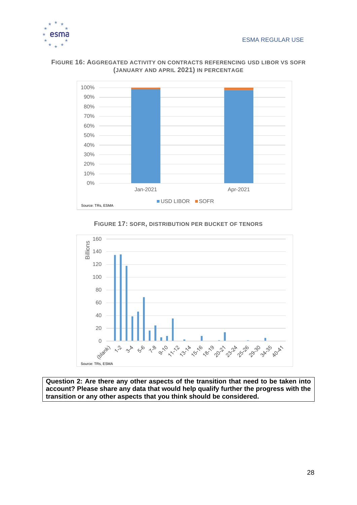



#### <span id="page-27-0"></span>**FIGURE 16: AGGREGATED ACTIVITY ON CONTRACTS REFERENCING USD LIBOR VS SOFR (JANUARY AND APRIL 2021) IN PERCENTAGE**

### **FIGURE 17: SOFR, DISTRIBUTION PER BUCKET OF TENORS**

<span id="page-27-1"></span>

**Question 2: Are there any other aspects of the transition that need to be taken into account? Please share any data that would help qualify further the progress with the transition or any other aspects that you think should be considered.**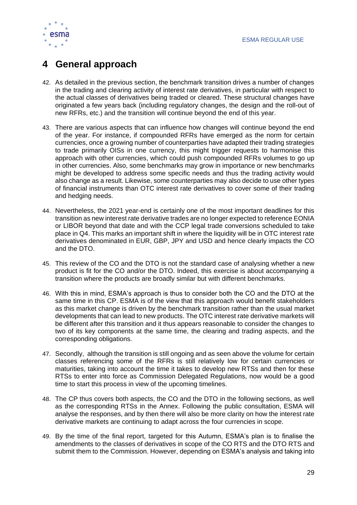

# <span id="page-28-0"></span>**4 General approach**

- 42. As detailed in the previous section, the benchmark transition drives a number of changes in the trading and clearing activity of interest rate derivatives, in particular with respect to the actual classes of derivatives being traded or cleared. These structural changes have originated a few years back (including regulatory changes, the design and the roll-out of new RFRs, etc.) and the transition will continue beyond the end of this year.
- 43. There are various aspects that can influence how changes will continue beyond the end of the year. For instance, if compounded RFRs have emerged as the norm for certain currencies, once a growing number of counterparties have adapted their trading strategies to trade primarily OISs in one currency, this might trigger requests to harmonise this approach with other currencies, which could push compounded RFRs volumes to go up in other currencies. Also, some benchmarks may grow in importance or new benchmarks might be developed to address some specific needs and thus the trading activity would also change as a result. Likewise, some counterparties may also decide to use other types of financial instruments than OTC interest rate derivatives to cover some of their trading and hedging needs.
- 44. Nevertheless, the 2021 year-end is certainly one of the most important deadlines for this transition as new interest rate derivative trades are no longer expected to reference EONIA or LIBOR beyond that date and with the CCP legal trade conversions scheduled to take place in Q4. This marks an important shift in where the liquidity will be in OTC interest rate derivatives denominated in EUR, GBP, JPY and USD and hence clearly impacts the CO and the DTO.
- 45. This review of the CO and the DTO is not the standard case of analysing whether a new product is fit for the CO and/or the DTO. Indeed, this exercise is about accompanying a transition where the products are broadly similar but with different benchmarks.
- 46. With this in mind, ESMA's approach is thus to consider both the CO and the DTO at the same time in this CP. ESMA is of the view that this approach would benefit stakeholders as this market change is driven by the benchmark transition rather than the usual market developments that can lead to new products. The OTC interest rate derivative markets will be different after this transition and it thus appears reasonable to consider the changes to two of its key components at the same time, the clearing and trading aspects, and the corresponding obligations.
- 47. Secondly, although the transition is still ongoing and as seen above the volume for certain classes referencing some of the RFRs is still relatively low for certain currencies or maturities, taking into account the time it takes to develop new RTSs and then for these RTSs to enter into force as Commission Delegated Regulations, now would be a good time to start this process in view of the upcoming timelines.
- 48. The CP thus covers both aspects, the CO and the DTO in the following sections, as well as the corresponding RTSs in the Annex. Following the public consultation, ESMA will analyse the responses, and by then there will also be more clarity on how the interest rate derivative markets are continuing to adapt across the four currencies in scope.
- 49. By the time of the final report, targeted for this Autumn, ESMA's plan is to finalise the amendments to the classes of derivatives in scope of the CO RTS and the DTO RTS and submit them to the Commission. However, depending on ESMA's analysis and taking into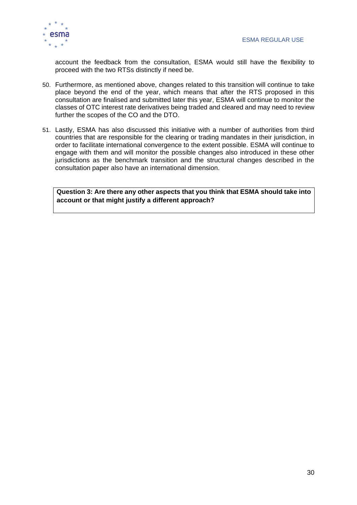

account the feedback from the consultation, ESMA would still have the flexibility to proceed with the two RTSs distinctly if need be.

- 50. Furthermore, as mentioned above, changes related to this transition will continue to take place beyond the end of the year, which means that after the RTS proposed in this consultation are finalised and submitted later this year, ESMA will continue to monitor the classes of OTC interest rate derivatives being traded and cleared and may need to review further the scopes of the CO and the DTO.
- 51. Lastly, ESMA has also discussed this initiative with a number of authorities from third countries that are responsible for the clearing or trading mandates in their jurisdiction, in order to facilitate international convergence to the extent possible. ESMA will continue to engage with them and will monitor the possible changes also introduced in these other jurisdictions as the benchmark transition and the structural changes described in the consultation paper also have an international dimension.

**Question 3: Are there any other aspects that you think that ESMA should take into account or that might justify a different approach?**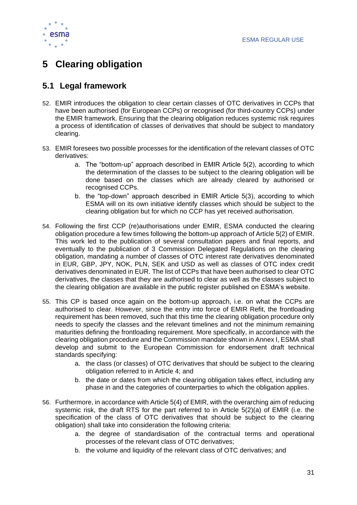

# <span id="page-30-0"></span>**5 Clearing obligation**

### <span id="page-30-1"></span>**5.1 Legal framework**

- 52. EMIR introduces the obligation to clear certain classes of OTC derivatives in CCPs that have been authorised (for European CCPs) or recognised (for third-country CCPs) under the EMIR framework. Ensuring that the clearing obligation reduces systemic risk requires a process of identification of classes of derivatives that should be subject to mandatory clearing.
- 53. EMIR foresees two possible processes for the identification of the relevant classes of OTC derivatives:
	- a. The "bottom-up" approach described in EMIR Article 5(2), according to which the determination of the classes to be subject to the clearing obligation will be done based on the classes which are already cleared by authorised or recognised CCPs.
	- b. the "top-down" approach described in EMIR Article 5(3), according to which ESMA will on its own initiative identify classes which should be subject to the clearing obligation but for which no CCP has yet received authorisation.
- 54. Following the first CCP (re)authorisations under EMIR, ESMA conducted the clearing obligation procedure a few times following the bottom-up approach of Article 5(2) of EMIR. This work led to the publication of several consultation papers and final reports, and eventually to the publication of 3 Commission Delegated Regulations on the clearing obligation, mandating a number of classes of OTC interest rate derivatives denominated in EUR, GBP, JPY, NOK, PLN, SEK and USD as well as classes of OTC index credit derivatives denominated in EUR. The list of CCPs that have been authorised to clear OTC derivatives, the classes that they are authorised to clear as well as the classes subject to the clearing obligation are available in the public register published on ESMA's website.
- 55. This CP is based once again on the bottom-up approach, i.e. on what the CCPs are authorised to clear. However, since the entry into force of EMIR Refit, the frontloading requirement has been removed, such that this time the clearing obligation procedure only needs to specify the classes and the relevant timelines and not the minimum remaining maturities defining the frontloading requirement. More specifically, in accordance with the clearing obligation procedure and the Commission mandate shown in Annex I, ESMA shall develop and submit to the European Commission for endorsement draft technical standards specifying:
	- a. the class (or classes) of OTC derivatives that should be subject to the clearing obligation referred to in Article 4; and
	- b. the date or dates from which the clearing obligation takes effect, including any phase in and the categories of counterparties to which the obligation applies.
- 56. Furthermore, in accordance with Article 5(4) of EMIR, with the overarching aim of reducing systemic risk, the draft RTS for the part referred to in Article 5(2)(a) of EMIR (i.e. the specification of the class of OTC derivatives that should be subject to the clearing obligation) shall take into consideration the following criteria:
	- a. the degree of standardisation of the contractual terms and operational processes of the relevant class of OTC derivatives;
	- b. the volume and liquidity of the relevant class of OTC derivatives; and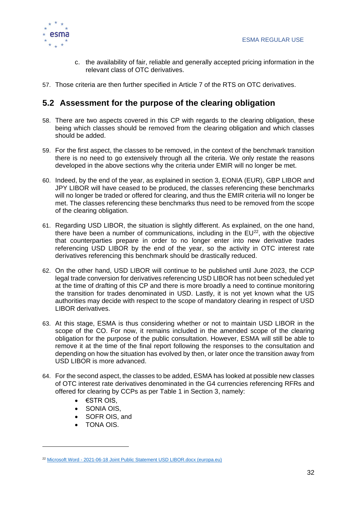

- c. the availability of fair, reliable and generally accepted pricing information in the relevant class of OTC derivatives.
- 57. Those criteria are then further specified in Article 7 of the RTS on OTC derivatives.

### <span id="page-31-0"></span>**5.2 Assessment for the purpose of the clearing obligation**

- 58. There are two aspects covered in this CP with regards to the clearing obligation, these being which classes should be removed from the clearing obligation and which classes should be added.
- 59. For the first aspect, the classes to be removed, in the context of the benchmark transition there is no need to go extensively through all the criteria. We only restate the reasons developed in the above sections why the criteria under EMIR will no longer be met.
- 60. Indeed, by the end of the year, as explained in section 3, EONIA (EUR), GBP LIBOR and JPY LIBOR will have ceased to be produced, the classes referencing these benchmarks will no longer be traded or offered for clearing, and thus the EMIR criteria will no longer be met. The classes referencing these benchmarks thus need to be removed from the scope of the clearing obligation.
- 61. Regarding USD LIBOR, the situation is slightly different. As explained, on the one hand, there have been a number of communications, including in the  $EU^{22}$ , with the objective that counterparties prepare in order to no longer enter into new derivative trades referencing USD LIBOR by the end of the year, so the activity in OTC interest rate derivatives referencing this benchmark should be drastically reduced.
- 62. On the other hand, USD LIBOR will continue to be published until June 2023, the CCP legal trade conversion for derivatives referencing USD LIBOR has not been scheduled yet at the time of drafting of this CP and there is more broadly a need to continue monitoring the transition for trades denominated in USD. Lastly, it is not yet known what the US authorities may decide with respect to the scope of mandatory clearing in respect of USD LIBOR derivatives.
- 63. At this stage, ESMA is thus considering whether or not to maintain USD LIBOR in the scope of the CO. For now, it remains included in the amended scope of the clearing obligation for the purpose of the public consultation. However, ESMA will still be able to remove it at the time of the final report following the responses to the consultation and depending on how the situation has evolved by then, or later once the transition away from USD LIBOR is more advanced.
- 64. For the second aspect, the classes to be added, ESMA has looked at possible new classes of OTC interest rate derivatives denominated in the G4 currencies referencing RFRs and offered for clearing by CCPs as per Table 1 in Section 3, namely:
	- $\bullet$   $\epsilon$ STR OIS.
	- SONIA OIS,
	- SOFR OIS, and
	- TONA OIS.

<sup>&</sup>lt;sup>22</sup> Microsoft Word - [2021-06-18 Joint Public Statement USD LIBOR.docx \(europa.eu\)](https://www.esma.europa.eu/sites/default/files/library/joint_public_statement_usd_libor.pdf)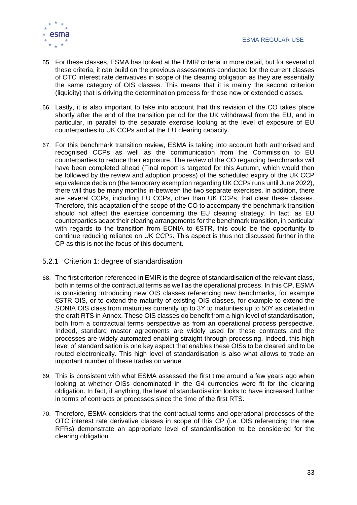

- 65. For these classes, ESMA has looked at the EMIR criteria in more detail, but for several of these criteria, it can build on the previous assessments conducted for the current classes of OTC interest rate derivatives in scope of the clearing obligation as they are essentially the same category of OIS classes. This means that it is mainly the second criterion (liquidity) that is driving the determination process for these new or extended classes.
- 66. Lastly, it is also important to take into account that this revision of the CO takes place shortly after the end of the transition period for the UK withdrawal from the EU, and in particular, in parallel to the separate exercise looking at the level of exposure of EU counterparties to UK CCPs and at the EU clearing capacity.
- 67. For this benchmark transition review, ESMA is taking into account both authorised and recognised CCPs as well as the communication from the Commission to EU counterparties to reduce their exposure. The review of the CO regarding benchmarks will have been completed ahead (Final report is targeted for this Autumn, which would then be followed by the review and adoption process) of the scheduled expiry of the UK CCP equivalence decision (the temporary exemption regarding UK CCPs runs until June 2022), there will thus be many months in-between the two separate exercises. In addition, there are several CCPs, including EU CCPs, other than UK CCPs, that clear these classes. Therefore, this adaptation of the scope of the CO to accompany the benchmark transition should not affect the exercise concerning the EU clearing strategy. In fact, as EU counterparties adapt their clearing arrangements for the benchmark transition, in particular with regards to the transition from EONIA to  $\epsilon$ STR, this could be the opportunity to continue reducing reliance on UK CCPs. This aspect is thus not discussed further in the CP as this is not the focus of this document.

### <span id="page-32-0"></span>5.2.1 Criterion 1: degree of standardisation

- 68. The first criterion referenced in EMIR is the degree of standardisation of the relevant class, both in terms of the contractual terms as well as the operational process. In this CP, ESMA is considering introducing new OIS classes referencing new benchmarks, for example €STR OIS, or to extend the maturity of existing OIS classes, for example to extend the SONIA OIS class from maturities currently up to 3Y to maturities up to 50Y as detailed in the draft RTS in Annex. These OIS classes do benefit from a high level of standardisation, both from a contractual terms perspective as from an operational process perspective. Indeed, standard master agreements are widely used for these contracts and the processes are widely automated enabling straight through processing. Indeed, this high level of standardisation is one key aspect that enables these OISs to be cleared and to be routed electronically. This high level of standardisation is also what allows to trade an important number of these trades on venue.
- 69. This is consistent with what ESMA assessed the first time around a few years ago when looking at whether OISs denominated in the G4 currencies were fit for the clearing obligation. In fact, if anything, the level of standardisation looks to have increased further in terms of contracts or processes since the time of the first RTS.
- 70. Therefore, ESMA considers that the contractual terms and operational processes of the OTC interest rate derivative classes in scope of this CP (i.e. OIS referencing the new RFRs) demonstrate an appropriate level of standardisation to be considered for the clearing obligation.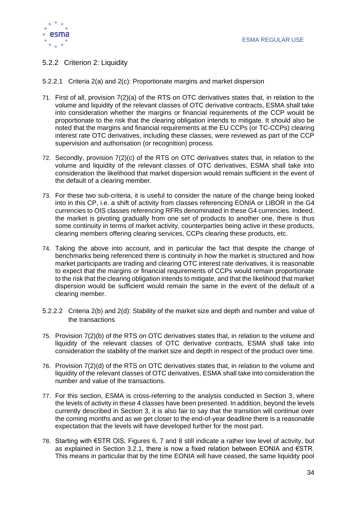

- <span id="page-33-0"></span>5.2.2 Criterion 2: Liquidity
- <span id="page-33-1"></span>5.2.2.1 Criteria 2(a) and 2(c): Proportionate margins and market dispersion
- 71. First of all, provision 7(2)(a) of the RTS on OTC derivatives states that, in relation to the volume and liquidity of the relevant classes of OTC derivative contracts, ESMA shall take into consideration whether the margins or financial requirements of the CCP would be proportionate to the risk that the clearing obligation intends to mitigate. It should also be noted that the margins and financial requirements at the EU CCPs (or TC-CCPs) clearing interest rate OTC derivatives, including these classes, were reviewed as part of the CCP supervision and authorisation (or recognition) process.
- 72. Secondly, provision 7(2)(c) of the RTS on OTC derivatives states that, in relation to the volume and liquidity of the relevant classes of OTC derivatives, ESMA shall take into consideration the likelihood that market dispersion would remain sufficient in the event of the default of a clearing member.
- 73. For these two sub-criteria, it is useful to consider the nature of the change being looked into in this CP, i.e. a shift of activity from classes referencing EONIA or LIBOR in the G4 currencies to OIS classes referencing RFRs denominated in these G4 currencies. Indeed, the market is pivoting gradually from one set of products to another one, there is thus some continuity in terms of market activity, counterparties being active in these products, clearing members offering clearing services, CCPs clearing these products, etc.
- 74. Taking the above into account, and in particular the fact that despite the change of benchmarks being referenced there is continuity in how the market is structured and how market participants are trading and clearing OTC interest rate derivatives, it is reasonable to expect that the margins or financial requirements of CCPs would remain proportionate to the risk that the clearing obligation intends to mitigate, and that the likelihood that market dispersion would be sufficient would remain the same in the event of the default of a clearing member.
- <span id="page-33-2"></span>5.2.2.2 Criteria 2(b) and 2(d): Stability of the market size and depth and number and value of the transactions
- 75. Provision 7(2)(b) of the RTS on OTC derivatives states that, in relation to the volume and liquidity of the relevant classes of OTC derivative contracts, ESMA shall take into consideration the stability of the market size and depth in respect of the product over time.
- 76. Provision 7(2)(d) of the RTS on OTC derivatives states that, in relation to the volume and liquidity of the relevant classes of OTC derivatives, ESMA shall take into consideration the number and value of the transactions.
- 77. For this section, ESMA is cross-referring to the analysis conducted in Section 3, where the levels of activity in these 4 classes have been presented. In addition, beyond the levels currently described in Section 3, it is also fair to say that the transition will continue over the coming months and as we get closer to the end-of-year deadline there is a reasonable expectation that the levels will have developed further for the most part.
- 78. Starting with €STR OIS, Figures 6, 7 and 8 still indicate a rather low level of activity, but as explained in Section 3.2.1, there is now a fixed relation between EONIA and €STR. This means in particular that by the time EONIA will have ceased, the same liquidity pool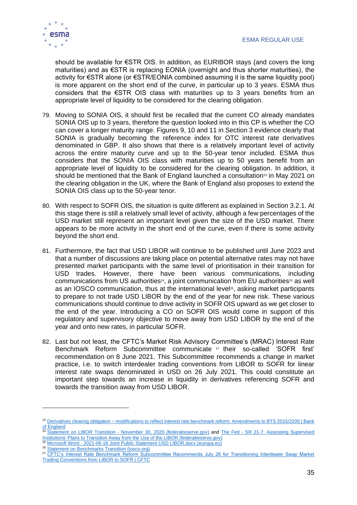

should be available for €STR OIS. In addition, as EURIBOR stays (and covers the long maturities) and as €STR is replacing EONIA (overnight and thus shorter maturities), the activity for €STR alone (or €STR/EONIA combined assuming it is the same liquidity pool) is more apparent on the short end of the curve, in particular up to 3 years. ESMA thus considers that the  $\epsilon$ STR OIS class with maturities up to 3 years benefits from an appropriate level of liquidity to be considered for the clearing obligation.

- 79. Moving to SONIA OIS, it should first be recalled that the current CO already mandates SONIA OIS up to 3 years, therefore the question looked into in this CP is whether the CO can cover a longer maturity range. Figures 9, 10 and 11 in Section 3 evidence clearly that SONIA is gradually becoming the reference index for OTC interest rate derivatives denominated in GBP. It also shows that there is a relatively important level of activity across the entire maturity curve and up to the 50-year tenor included. ESMA thus considers that the SONIA OIS class with maturities up to 50 years benefit from an appropriate level of liquidity to be considered for the clearing obligation. In addition, it should be mentioned that the Bank of England launched a consultation<sup>23</sup> in May 2021 on the clearing obligation in the UK, where the Bank of England also proposes to extend the SONIA OIS class up to the 50-year tenor.
- 80. With respect to SOFR OIS, the situation is quite different as explained in Section 3.2.1. At this stage there is still a relatively small level of activity, although a few percentages of the USD market still represent an important level given the size of the USD market. There appears to be more activity in the short end of the curve, even if there is some activity beyond the short end.
- 81. Furthermore, the fact that USD LIBOR will continue to be published until June 2023 and that a number of discussions are taking place on potential alternative rates may not have presented market participants with the same level of prioritisation in their transition for USD trades. However, there have been various communications, including communications from US authorities<sup>24</sup>, a joint communication from EU authorities<sup>25</sup> as well as an IOSCO communication, thus at the international level<sup>26</sup>, asking market participants to prepare to not trade USD LIBOR by the end of the year for new risk. These various communications should continue to drive activity in SOFR OIS upward as we get closer to the end of the year. Introducing a CO on SOFR OIS would come in support of this regulatory and supervisory objective to move away from USD LIBOR by the end of the year and onto new rates, in particular SOFR.
- 82. Last but not least, the CFTC's Market Risk Advisory Committee's (MRAC) Interest Rate Benchmark Reform Subcommittee communicate <sup>27</sup> their so-called 'SOFR first' recommendation on 8 June 2021. This Subcommittee recommends a change in market practice, i.e. to switch interdealer trading conventions from LIBOR to SOFR for linear interest rate swaps denominated in USD on 26 July 2021. This could constitute an important step towards an increase in liquidity in derivatives referencing SOFR and towards the transition away from USD LIBOR.

26 [Statement on Benchmarks Transition \(iosco.org\)](https://www.iosco.org/library/pubdocs/pdf/IOSCOPD676.pdf)

<sup>23</sup> Derivatives clearing obligation – [modifications to reflect interest rate benchmark reform: Amendments to BTS 2015/2205 | Bank](https://www.bankofengland.co.uk/paper/2021/derivatives-clearing-obligation-modifications-to-reflect-interest-rate-benchmark-reform-amendments)   $\frac{1.4 \times 10^{10}}{24 \times 10^{10}}$ 

Statement on LIBOR Transition - [November 30, 2020 \(federalreserve.gov\)](https://www.federalreserve.gov/newsevents/pressreleases/files/bcreg20201130a1.pdf) and The Fed - SR 21-7: Assessing Supervised [Institutions' Plans to Transition Away from the Use of the LIBOR \(federalreserve.gov\)](https://www.federalreserve.gov/supervisionreg/srletters/SR2107.htm)

<sup>&</sup>lt;sup>25</sup> Microsoft Word - [2021-06-18 Joint Public Statement USD LIBOR.docx \(europa.eu\)](https://www.esma.europa.eu/sites/default/files/library/joint_public_statement_usd_libor.pdf)

<sup>&</sup>lt;sup>27</sup> CFTC's Interest Rate Benchmark Reform Subcommittee Recommends July 26 for Transitioning Interdealer Swap Market [Trading Conventions from LIBOR to SOFR | CFTC](https://www.cftc.gov/PressRoom/PressReleases/8394-21)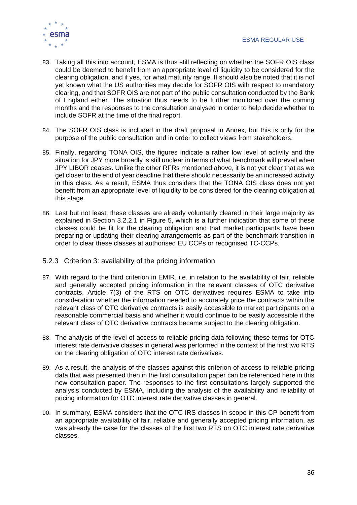

- 83. Taking all this into account, ESMA is thus still reflecting on whether the SOFR OIS class could be deemed to benefit from an appropriate level of liquidity to be considered for the clearing obligation, and if yes, for what maturity range. It should also be noted that it is not yet known what the US authorities may decide for SOFR OIS with respect to mandatory clearing, and that SOFR OIS are not part of the public consultation conducted by the Bank of England either. The situation thus needs to be further monitored over the coming months and the responses to the consultation analysed in order to help decide whether to include SOFR at the time of the final report.
- 84. The SOFR OIS class is included in the draft proposal in Annex, but this is only for the purpose of the public consultation and in order to collect views from stakeholders.
- 85. Finally, regarding TONA OIS, the figures indicate a rather low level of activity and the situation for JPY more broadly is still unclear in terms of what benchmark will prevail when JPY LIBOR ceases. Unlike the other RFRs mentioned above, it is not yet clear that as we get closer to the end of year deadline that there should necessarily be an increased activity in this class. As a result, ESMA thus considers that the TONA OIS class does not yet benefit from an appropriate level of liquidity to be considered for the clearing obligation at this stage.
- 86. Last but not least, these classes are already voluntarily cleared in their large majority as explained in Section 3.2.2.1 in Figure 5, which is a further indication that some of these classes could be fit for the clearing obligation and that market participants have been preparing or updating their clearing arrangements as part of the benchmark transition in order to clear these classes at authorised EU CCPs or recognised TC-CCPs.
- <span id="page-35-0"></span>5.2.3 Criterion 3: availability of the pricing information
- 87. With regard to the third criterion in EMIR, i.e. in relation to the availability of fair, reliable and generally accepted pricing information in the relevant classes of OTC derivative contracts, Article 7(3) of the RTS on OTC derivatives requires ESMA to take into consideration whether the information needed to accurately price the contracts within the relevant class of OTC derivative contracts is easily accessible to market participants on a reasonable commercial basis and whether it would continue to be easily accessible if the relevant class of OTC derivative contracts became subject to the clearing obligation.
- 88. The analysis of the level of access to reliable pricing data following these terms for OTC interest rate derivative classes in general was performed in the context of the first two RTS on the clearing obligation of OTC interest rate derivatives.
- 89. As a result, the analysis of the classes against this criterion of access to reliable pricing data that was presented then in the first consultation paper can be referenced here in this new consultation paper. The responses to the first consultations largely supported the analysis conducted by ESMA, including the analysis of the availability and reliability of pricing information for OTC interest rate derivative classes in general.
- 90. In summary, ESMA considers that the OTC IRS classes in scope in this CP benefit from an appropriate availability of fair, reliable and generally accepted pricing information, as was already the case for the classes of the first two RTS on OTC interest rate derivative classes.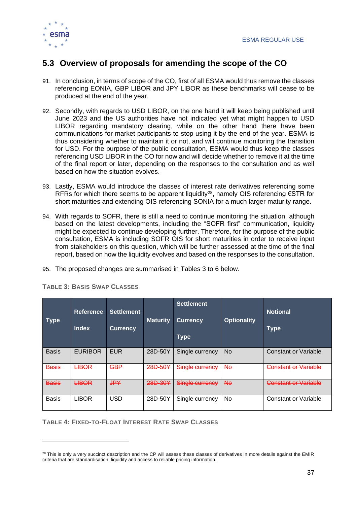

### <span id="page-36-0"></span>**5.3 Overview of proposals for amending the scope of the CO**

- 91. In conclusion, in terms of scope of the CO, first of all ESMA would thus remove the classes referencing EONIA, GBP LIBOR and JPY LIBOR as these benchmarks will cease to be produced at the end of the year.
- 92. Secondly, with regards to USD LIBOR, on the one hand it will keep being published until June 2023 and the US authorities have not indicated yet what might happen to USD LIBOR regarding mandatory clearing, while on the other hand there have been communications for market participants to stop using it by the end of the year. ESMA is thus considering whether to maintain it or not, and will continue monitoring the transition for USD. For the purpose of the public consultation, ESMA would thus keep the classes referencing USD LIBOR in the CO for now and will decide whether to remove it at the time of the final report or later, depending on the responses to the consultation and as well based on how the situation evolves.
- 93. Lastly, ESMA would introduce the classes of interest rate derivatives referencing some RFRs for which there seems to be apparent liquidity<sup>28</sup>, namely OIS referencing  $\epsilon$ STR for short maturities and extending OIS referencing SONIA for a much larger maturity range.
- 94. With regards to SOFR, there is still a need to continue monitoring the situation, although based on the latest developments, including the "SOFR first" communication, liquidity might be expected to continue developing further. Therefore, for the purpose of the public consultation, ESMA is including SOFR OIS for short maturities in order to receive input from stakeholders on this question, which will be further assessed at the time of the final report, based on how the liquidity evolves and based on the responses to the consultation.
- 95. The proposed changes are summarised in Tables 3 to 6 below.

| <b>Type</b>  | <b>Reference</b><br><b>Index</b> | <b>Settlement</b><br><b>Currency</b> | <b>Maturity</b> | <b>Settlement</b><br><b>Currency</b><br><b>Type</b> | <b>Optionality</b> | <b>Notional</b><br><b>Type</b> |
|--------------|----------------------------------|--------------------------------------|-----------------|-----------------------------------------------------|--------------------|--------------------------------|
| <b>Basis</b> | <b>EURIBOR</b>                   | <b>EUR</b>                           | 28D-50Y         | Single currency                                     | <b>No</b>          | Constant or Variable           |
| <b>Basis</b> | <b>LIBOR</b>                     | <b>GBP</b>                           | 28D-50Y         | Single currency                                     | <b>No</b>          | <b>Constant or Variable</b>    |
| <b>Basis</b> | <b>LIBOR</b>                     | <b>JPY</b>                           | 28D-30Y         | Single currency                                     | Hө                 | <b>Constant or Variable</b>    |
| <b>Basis</b> | <b>LIBOR</b>                     | <b>USD</b>                           | 28D-50Y         | Single currency                                     | No                 | Constant or Variable           |

**TABLE 3: BASIS SWAP CLASSES**

**TABLE 4: FIXED-TO-FLOAT INTEREST RATE SWAP CLASSES**

 $28$  This is only a very succinct description and the CP will assess these classes of derivatives in more details against the EMIR criteria that are standardisation, liquidity and access to reliable pricing information.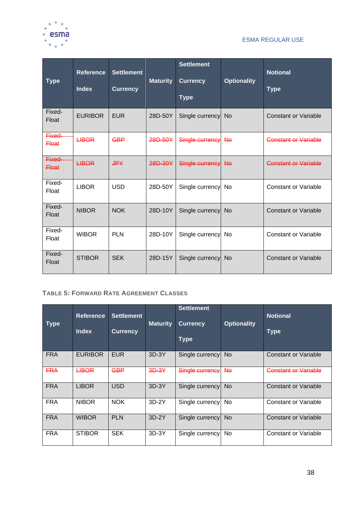

### ESMA REGULAR USE

| <b>Type</b>            | <b>Reference</b><br><b>Index</b> | <b>Settlement</b><br><b>Currency</b> | <b>Maturity</b> | <b>Settlement</b><br><b>Currency</b><br><b>Type</b> | <b>Optionality</b> | <b>Notional</b><br><b>Type</b> |
|------------------------|----------------------------------|--------------------------------------|-----------------|-----------------------------------------------------|--------------------|--------------------------------|
| Fixed-<br>Float        | <b>EURIBOR</b>                   | <b>EUR</b>                           | 28D-50Y         | Single currency                                     | <b>No</b>          | <b>Constant or Variable</b>    |
| Fixed-<br><b>Float</b> | <b>LIBOR</b>                     | <b>GBP</b>                           | 28D-50Y         | Single currency                                     | <b>No</b>          | <b>Constant or Variable</b>    |
| Fixed-<br><b>Float</b> | <b>LIBOR</b>                     | <b>JPY</b>                           | 28D-30Y         | Single currency                                     | $A\Theta$          | <b>Constant or Variable</b>    |
| Fixed-<br>Float        | <b>LIBOR</b>                     | <b>USD</b>                           | 28D-50Y         | Single currency                                     | No                 | <b>Constant or Variable</b>    |
| Fixed-<br>Float        | <b>NIBOR</b>                     | <b>NOK</b>                           | 28D-10Y         | Single currency                                     | <b>No</b>          | <b>Constant or Variable</b>    |
| Fixed-<br>Float        | <b>WIBOR</b>                     | <b>PLN</b>                           | 28D-10Y         | Single currency                                     | No                 | <b>Constant or Variable</b>    |
| Fixed-<br>Float        | <b>STIBOR</b>                    | <b>SEK</b>                           | 28D-15Y         | Single currency                                     | <b>No</b>          | <b>Constant or Variable</b>    |

### **TABLE 5: FORWARD RATE AGREEMENT CLASSES**

| <b>Type</b> | <b>Reference</b><br><b>Index</b> | <b>Settlement</b><br><b>Currency</b> | <b>Maturity</b> | <b>Settlement</b><br><b>Currency</b><br><b>Type</b> | <b>Optionality</b> | <b>Notional</b><br><b>Type</b> |
|-------------|----------------------------------|--------------------------------------|-----------------|-----------------------------------------------------|--------------------|--------------------------------|
| <b>FRA</b>  | <b>EURIBOR</b>                   | <b>EUR</b>                           | $3D-3Y$         | Single currency                                     | N <sub>o</sub>     | <b>Constant or Variable</b>    |
| <b>FRA</b>  | <b>LIBOR</b>                     | <b>GBP</b>                           | $3D-3Y$         | Single currency                                     | <b>No</b>          | <b>Constant or Variable</b>    |
| <b>FRA</b>  | <b>LIBOR</b>                     | <b>USD</b>                           | $3D-3Y$         | Single currency                                     | <b>No</b>          | <b>Constant or Variable</b>    |
| <b>FRA</b>  | <b>NIBOR</b>                     | <b>NOK</b>                           | $3D-2Y$         | Single currency                                     | No.                | Constant or Variable           |
| <b>FRA</b>  | <b>WIBOR</b>                     | <b>PLN</b>                           | $3D-2Y$         | Single currency                                     | <b>No</b>          | <b>Constant or Variable</b>    |
| <b>FRA</b>  | <b>STIBOR</b>                    | <b>SEK</b>                           | $3D-3Y$         | Single currency                                     | No                 | <b>Constant or Variable</b>    |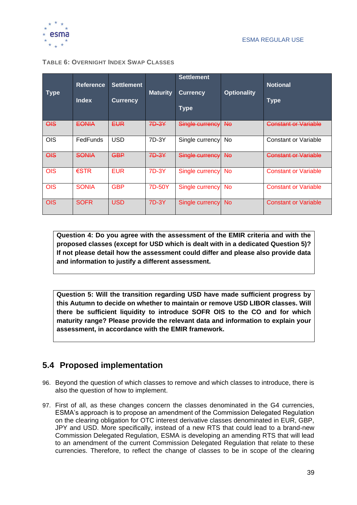

| <b>Type</b>    | <b>Reference</b><br><b>Index</b> | <b>Settlement</b><br><b>Currency</b> | <b>Maturity</b> | <b>Settlement</b><br><b>Currency</b><br><b>Type</b> | <b>Optionality</b> | <b>Notional</b><br><b>Type</b> |
|----------------|----------------------------------|--------------------------------------|-----------------|-----------------------------------------------------|--------------------|--------------------------------|
| $\Theta$       | <b>EONIA</b>                     | <b>EUR</b>                           | 7D-3Y           | Single currency                                     | <b>No</b>          | <b>Constant or Variable</b>    |
| <b>OIS</b>     | FedFunds                         | <b>USD</b>                           | 7D-3Y           | Single currency                                     | No                 | Constant or Variable           |
| $\overline{O}$ | <b>SONIA</b>                     | <b>GBP</b>                           | 7D-3Y           | Single currency                                     | <b>No</b>          | <b>Constant or Variable</b>    |
| <b>OIS</b>     | $\epsilon$ STR                   | <b>EUR</b>                           | 7D-3Y           | Single currency                                     | <b>No</b>          | <b>Constant or Variable</b>    |
| <b>OIS</b>     | <b>SONIA</b>                     | <b>GBP</b>                           | 7D-50Y          | Single currency                                     | <b>No</b>          | <b>Constant or Variable</b>    |
| <b>OIS</b>     | <b>SOFR</b>                      | <b>USD</b>                           | 7D-3Y           | Single currency                                     | No.                | <b>Constant or Variable</b>    |

**Question 4: Do you agree with the assessment of the EMIR criteria and with the proposed classes (except for USD which is dealt with in a dedicated Question 5)? If not please detail how the assessment could differ and please also provide data and information to justify a different assessment.**

**Question 5: Will the transition regarding USD have made sufficient progress by this Autumn to decide on whether to maintain or remove USD LIBOR classes. Will there be sufficient liquidity to introduce SOFR OIS to the CO and for which maturity range? Please provide the relevant data and information to explain your assessment, in accordance with the EMIR framework.**

### <span id="page-38-0"></span>**5.4 Proposed implementation**

- 96. Beyond the question of which classes to remove and which classes to introduce, there is also the question of how to implement.
- 97. First of all, as these changes concern the classes denominated in the G4 currencies, ESMA's approach is to propose an amendment of the Commission Delegated Regulation on the clearing obligation for OTC interest derivative classes denominated in EUR, GBP, JPY and USD. More specifically, instead of a new RTS that could lead to a brand-new Commission Delegated Regulation, ESMA is developing an amending RTS that will lead to an amendment of the current Commission Delegated Regulation that relate to these currencies. Therefore, to reflect the change of classes to be in scope of the clearing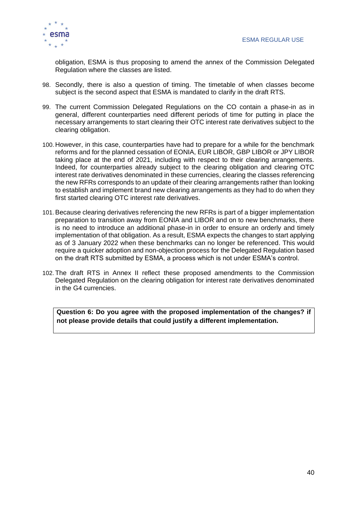

obligation, ESMA is thus proposing to amend the annex of the Commission Delegated Regulation where the classes are listed.

- 98. Secondly, there is also a question of timing. The timetable of when classes become subject is the second aspect that ESMA is mandated to clarify in the draft RTS.
- 99. The current Commission Delegated Regulations on the CO contain a phase-in as in general, different counterparties need different periods of time for putting in place the necessary arrangements to start clearing their OTC interest rate derivatives subject to the clearing obligation.
- 100. However, in this case, counterparties have had to prepare for a while for the benchmark reforms and for the planned cessation of EONIA, EUR LIBOR, GBP LIBOR or JPY LIBOR taking place at the end of 2021, including with respect to their clearing arrangements. Indeed, for counterparties already subject to the clearing obligation and clearing OTC interest rate derivatives denominated in these currencies, clearing the classes referencing the new RFRs corresponds to an update of their clearing arrangements rather than looking to establish and implement brand new clearing arrangements as they had to do when they first started clearing OTC interest rate derivatives.
- 101.Because clearing derivatives referencing the new RFRs is part of a bigger implementation preparation to transition away from EONIA and LIBOR and on to new benchmarks, there is no need to introduce an additional phase-in in order to ensure an orderly and timely implementation of that obligation. As a result, ESMA expects the changes to start applying as of 3 January 2022 when these benchmarks can no longer be referenced. This would require a quicker adoption and non-objection process for the Delegated Regulation based on the draft RTS submitted by ESMA, a process which is not under ESMA's control.
- 102. The draft RTS in Annex II reflect these proposed amendments to the Commission Delegated Regulation on the clearing obligation for interest rate derivatives denominated in the G4 currencies.

**Question 6: Do you agree with the proposed implementation of the changes? if not please provide details that could justify a different implementation.**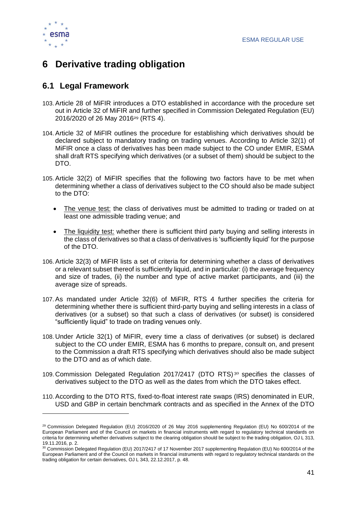

# <span id="page-40-0"></span>**6 Derivative trading obligation**

### <span id="page-40-1"></span>**6.1 Legal Framework**

- 103.Article 28 of MiFIR introduces a DTO established in accordance with the procedure set out in Article 32 of MiFIR and further specified in Commission Delegated Regulation (EU) 2016/2020 of 26 May 2016<sup>29</sup> (RTS 4).
- 104.Article 32 of MiFIR outlines the procedure for establishing which derivatives should be declared subject to mandatory trading on trading venues. According to Article 32(1) of MiFIR once a class of derivatives has been made subject to the CO under EMIR, ESMA shall draft RTS specifying which derivatives (or a subset of them) should be subject to the DTO.
- 105.Article 32(2) of MiFIR specifies that the following two factors have to be met when determining whether a class of derivatives subject to the CO should also be made subject to the DTO:
	- The venue test: the class of derivatives must be admitted to trading or traded on at least one admissible trading venue; and
	- The liquidity test: whether there is sufficient third party buying and selling interests in the class of derivatives so that a class of derivatives is 'sufficiently liquid' for the purpose of the DTO.
- 106.Article 32(3) of MiFIR lists a set of criteria for determining whether a class of derivatives or a relevant subset thereof is sufficiently liquid, and in particular: (i) the average frequency and size of trades, (ii) the number and type of active market participants, and (iii) the average size of spreads.
- 107.As mandated under Article 32(6) of MiFIR, RTS 4 further specifies the criteria for determining whether there is sufficient third-party buying and selling interests in a class of derivatives (or a subset) so that such a class of derivatives (or subset) is considered "sufficiently liquid" to trade on trading venues only.
- 108. Under Article 32(1) of MiFIR, every time a class of derivatives (or subset) is declared subject to the CO under EMIR, ESMA has 6 months to prepare, consult on, and present to the Commission a draft RTS specifying which derivatives should also be made subject to the DTO and as of which date.
- 109. Commission Delegated Regulation 2017/2417 (DTO RTS) <sup>30</sup> specifies the classes of derivatives subject to the DTO as well as the dates from which the DTO takes effect.
- 110.According to the DTO RTS, fixed-to-float interest rate swaps (IRS) denominated in EUR, USD and GBP in certain benchmark contracts and as specified in the Annex of the DTO

<sup>&</sup>lt;sup>29</sup> Commission Delegated Regulation (EU) 2016/2020 of 26 May 2016 supplementing Regulation (EU) No 600/2014 of the European Parliament and of the Council on markets in financial instruments with regard to regulatory technical standards on criteria for determining whether derivatives subject to the clearing obligation should be subject to the trading obligation, OJ L 313, 19.11.2016, p. 2.

<sup>30</sup> Commission Delegated Regulation (EU) 2017/2417 of 17 November 2017 supplementing Regulation (EU) No 600/2014 of the European Parliament and of the Council on markets in financial instruments with regard to regulatory technical standards on the trading obligation for certain derivatives, OJ L 343, 22.12.2017, p. 48.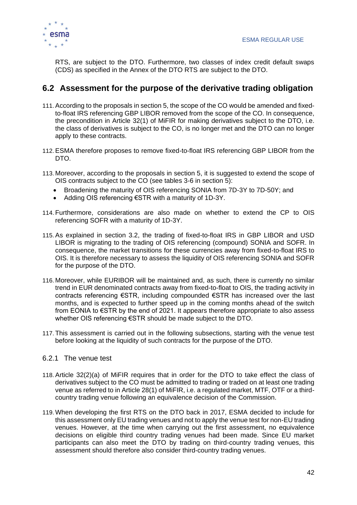

RTS, are subject to the DTO. Furthermore, two classes of index credit default swaps (CDS) as specified in the Annex of the DTO RTS are subject to the DTO.

### <span id="page-41-0"></span>**6.2 Assessment for the purpose of the derivative trading obligation**

- 111.According to the proposals in section 5, the scope of the CO would be amended and fixedto-float IRS referencing GBP LIBOR removed from the scope of the CO. In consequence, the precondition in Article 32(1) of MiFIR for making derivatives subject to the DTO, i.e. the class of derivatives is subject to the CO, is no longer met and the DTO can no longer apply to these contracts.
- 112.ESMA therefore proposes to remove fixed-to-float IRS referencing GBP LIBOR from the DTO.
- 113. Moreover, according to the proposals in section 5, it is suggested to extend the scope of OIS contracts subject to the CO (see tables 3-6 in section 5):
	- Broadening the maturity of OIS referencing SONIA from 7D-3Y to 7D-50Y; and
	- Adding OIS referencing €STR with a maturity of 1D-3Y.
- 114. Furthermore, considerations are also made on whether to extend the CP to OIS referencing SOFR with a maturity of 1D-3Y.
- 115.As explained in section 3.2, the trading of fixed-to-float IRS in GBP LIBOR and USD LIBOR is migrating to the trading of OIS referencing (compound) SONIA and SOFR. In consequence, the market transitions for these currencies away from fixed-to-float IRS to OIS. It is therefore necessary to assess the liquidity of OIS referencing SONIA and SOFR for the purpose of the DTO.
- 116. Moreover, while EURIBOR will be maintained and, as such, there is currently no similar trend in EUR denominated contracts away from fixed-to-float to OIS, the trading activity in contracts referencing €STR, including compounded €STR has increased over the last months, and is expected to further speed up in the coming months ahead of the switch from EONIA to €STR by the end of 2021. It appears therefore appropriate to also assess whether OIS referencing €STR should be made subject to the DTO.
- 117. This assessment is carried out in the following subsections, starting with the venue test before looking at the liquidity of such contracts for the purpose of the DTO.

### <span id="page-41-1"></span>6.2.1 The venue test

- 118.Article 32(2)(a) of MiFIR requires that in order for the DTO to take effect the class of derivatives subject to the CO must be admitted to trading or traded on at least one trading venue as referred to in Article 28(1) of MiFIR, i.e. a regulated market, MTF, OTF or a thirdcountry trading venue following an equivalence decision of the Commission.
- 119. When developing the first RTS on the DTO back in 2017, ESMA decided to include for this assessment only EU trading venues and not to apply the venue test for non-EU trading venues. However, at the time when carrying out the first assessment, no equivalence decisions on eligible third country trading venues had been made. Since EU market participants can also meet the DTO by trading on third-country trading venues, this assessment should therefore also consider third-country trading venues.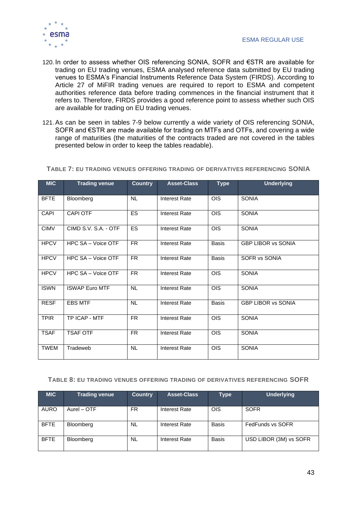

- 120. In order to assess whether OIS referencing SONIA, SOFR and €STR are available for trading on EU trading venues, ESMA analysed reference data submitted by EU trading venues to ESMA's Financial Instruments Reference Data System (FIRDS). According to Article 27 of MiFIR trading venues are required to report to ESMA and competent authorities reference data before trading commences in the financial instrument that it refers to. Therefore, FIRDS provides a good reference point to assess whether such OIS are available for trading on EU trading venues.
- 121.As can be seen in tables 7-9 below currently a wide variety of OIS referencing SONIA, SOFR and €STR are made available for trading on MTFs and OTFs, and covering a wide range of maturities (the maturities of the contracts traded are not covered in the tables presented below in order to keep the tables readable).

| <b>MIC</b>  | <b>Trading venue</b>  | <b>Country</b>           | <b>Asset-Class</b>   | <b>Type</b>     | <b>Underlying</b>         |
|-------------|-----------------------|--------------------------|----------------------|-----------------|---------------------------|
| <b>BFTE</b> | Bloomberg             | <b>NL</b>                | <b>Interest Rate</b> | $\overline{OS}$ | <b>SONIA</b>              |
| <b>CAPI</b> | <b>CAPI OTF</b>       | <b>ES</b>                | <b>Interest Rate</b> | <b>OIS</b>      | <b>SONIA</b>              |
| <b>CIMV</b> | CIMD S.V. S.A. - OTF  | ES                       | <b>Interest Rate</b> | $\overline{OS}$ | <b>SONIA</b>              |
| <b>HPCV</b> | HPC SA - Voice OTF    | FR.                      | <b>Interest Rate</b> | <b>Basis</b>    | <b>GBP LIBOR vs SONIA</b> |
| <b>HPCV</b> | HPC SA - Voice OTF    | FR.                      | <b>Interest Rate</b> | <b>Basis</b>    | SOFR vs SONIA             |
| <b>HPCV</b> | HPC SA - Voice OTF    | FR.                      | <b>Interest Rate</b> | <b>OIS</b>      | <b>SONIA</b>              |
| <b>ISWN</b> | <b>ISWAP Euro MTF</b> | <b>NL</b>                | <b>Interest Rate</b> | $\overline{OS}$ | <b>SONIA</b>              |
| <b>RESF</b> | <b>EBS MTF</b>        | <b>NL</b>                | <b>Interest Rate</b> | <b>Basis</b>    | <b>GBP LIBOR vs SONIA</b> |
| <b>TPIR</b> | TP ICAP - MTF         | $\overline{\mathsf{FR}}$ | <b>Interest Rate</b> | <b>OIS</b>      | <b>SONIA</b>              |
| <b>TSAF</b> | <b>TSAF OTF</b>       | FR.                      | <b>Interest Rate</b> | <b>OIS</b>      | <b>SONIA</b>              |
| <b>TWEM</b> | Tradeweb              | NL.                      | <b>Interest Rate</b> | <b>OIS</b>      | <b>SONIA</b>              |

**TABLE 7: EU TRADING VENUES OFFERING TRADING OF DERIVATIVES REFERENCING SONIA**

#### **TABLE 8: EU TRADING VENUES OFFERING TRADING OF DERIVATIVES REFERENCING SOFR**

| <b>MIC</b>  | <b>Trading venue</b> | <b>Country</b> | Asset-Class   | Type         | <b>Underlying</b>      |
|-------------|----------------------|----------------|---------------|--------------|------------------------|
| <b>AURO</b> | Aurel - OTF          | FR.            | Interest Rate | <b>OIS</b>   | <b>SOFR</b>            |
| <b>BFTE</b> | Bloomberg            | <b>NL</b>      | Interest Rate | <b>Basis</b> | FedFunds vs SOFR       |
| <b>BFTE</b> | Bloomberg            | <b>NL</b>      | Interest Rate | <b>Basis</b> | USD LIBOR (3M) vs SOFR |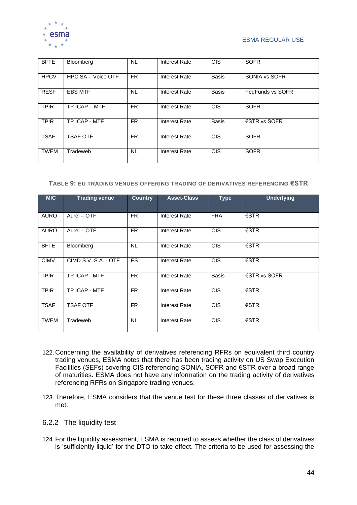

### ESMA REGULAR USE

| <b>BFTE</b> | Bloomberg          | <b>NL</b> | <b>Interest Rate</b> | <b>OIS</b>   | <b>SOFR</b>            |
|-------------|--------------------|-----------|----------------------|--------------|------------------------|
| <b>HPCV</b> | HPC SA - Voice OTF | FR.       | Interest Rate        | <b>Basis</b> | SONIA vs SOFR          |
| <b>RESF</b> | <b>EBS MTF</b>     | <b>NL</b> | <b>Interest Rate</b> | <b>Basis</b> | FedFunds vs SOFR       |
| <b>TPIR</b> | TP ICAP - MTF      | FR.       | <b>Interest Rate</b> | <b>OIS</b>   | <b>SOFR</b>            |
| <b>TPIR</b> | TP ICAP - MTF      | FR.       | Interest Rate        | <b>Basis</b> | $\epsilon$ STR vs SOFR |
| <b>TSAF</b> | <b>TSAF OTF</b>    | FR.       | Interest Rate        | <b>OIS</b>   | <b>SOFR</b>            |
| <b>TWEM</b> | Tradeweb           | <b>NL</b> | Interest Rate        | <b>OIS</b>   | <b>SOFR</b>            |

#### **TABLE 9: EU TRADING VENUES OFFERING TRADING OF DERIVATIVES REFERENCING €STR**

| <b>MIC</b>  | <b>Trading venue</b> | <b>Country</b> | <b>Asset-Class</b>   | <b>Type</b>  | <b>Underlying</b>      |
|-------------|----------------------|----------------|----------------------|--------------|------------------------|
| <b>AURO</b> | Aurel - OTF          | FR.            | Interest Rate        | <b>FRA</b>   | $\epsilon$ STR         |
| <b>AURO</b> | Aurel - OTF          | FR.            | Interest Rate        | <b>OIS</b>   | $\epsilon$ STR         |
| <b>BFTE</b> | Bloomberg            | <b>NL</b>      | Interest Rate        | <b>OIS</b>   | €STR                   |
| <b>CIMV</b> | CIMD S.V. S.A. - OTF | <b>ES</b>      | Interest Rate        | <b>OIS</b>   | $\epsilon$ STR         |
| <b>TPIR</b> | TP ICAP - MTF        | FR.            | Interest Rate        | <b>Basis</b> | $\epsilon$ STR vs SOFR |
| <b>TPIR</b> | TP ICAP - MTF        | FR.            | Interest Rate        | <b>OIS</b>   | $\epsilon$ STR         |
| <b>TSAF</b> | <b>TSAF OTF</b>      | FR.            | <b>Interest Rate</b> | <b>OIS</b>   | $\epsilon$ STR         |
| <b>TWEM</b> | Tradeweb             | NL.            | Interest Rate        | <b>OIS</b>   | $\epsilon$ STR         |

- 122. Concerning the availability of derivatives referencing RFRs on equivalent third country trading venues, ESMA notes that there has been trading activity on US Swap Execution Facilities (SEFs) covering OIS referencing SONIA, SOFR and €STR over a broad range of maturities. ESMA does not have any information on the trading activity of derivatives referencing RFRs on Singapore trading venues.
- 123. Therefore, ESMA considers that the venue test for these three classes of derivatives is met.
- <span id="page-43-0"></span>6.2.2 The liquidity test
- 124. For the liquidity assessment, ESMA is required to assess whether the class of derivatives is 'sufficiently liquid' for the DTO to take effect. The criteria to be used for assessing the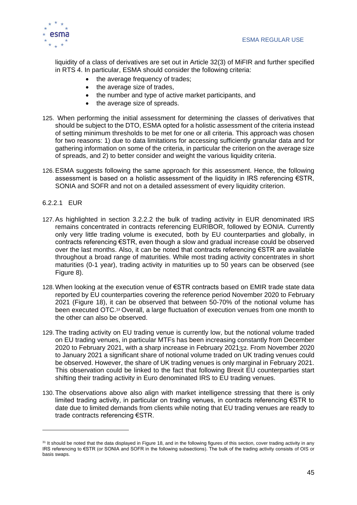

liquidity of a class of derivatives are set out in Article 32(3) of MiFIR and further specified in RTS 4. In particular, ESMA should consider the following criteria:

- the average frequency of trades;
- the average size of trades,
- the number and type of active market participants, and
- the average size of spreads.
- 125. When performing the initial assessment for determining the classes of derivatives that should be subject to the DTO, ESMA opted for a holistic assessment of the criteria instead of setting minimum thresholds to be met for one or all criteria. This approach was chosen for two reasons: 1) due to data limitations for accessing sufficiently granular data and for gathering information on some of the criteria, in particular the criterion on the average size of spreads, and 2) to better consider and weight the various liquidity criteria.
- 126.ESMA suggests following the same approach for this assessment. Hence, the following assessment is based on a holistic assessment of the liquidity in IRS referencing  $\epsilon$ STR, SONIA and SOFR and not on a detailed assessment of every liquidity criterion.

### <span id="page-44-0"></span>6.2.2.1 EUR

- 127.As highlighted in section [3.2.2.2](#page-21-0) the bulk of trading activity in EUR denominated IRS remains concentrated in contracts referencing EURIBOR, followed by EONIA. Currently only very little trading volume is executed, both by EU counterparties and globally, in contracts referencing €STR, even though a slow and gradual increase could be observed over the last months. Also, it can be noted that contracts referencing €STR are available throughout a broad range of maturities. While most trading activity concentrates in short maturities (0-1 year), trading activity in maturities up to 50 years can be observed (see [Figure 8\)](#page-23-1).
- 128. When looking at the execution venue of €STR contracts based on EMIR trade state data reported by EU counterparties covering the reference period November 2020 to February 2021 [\(Figure 18\)](#page-45-0), it can be observed that between 50-70% of the notional volume has been executed OTC.<sup>31</sup> Overall, a large fluctuation of execution venues from one month to the other can also be observed.
- 129. The trading activity on EU trading venue is currently low, but the notional volume traded on EU trading venues, in particular MTFs has been increasing constantly from December 2020 to February 2021, with a sharp increase in February 202132. From November 2020 to January 2021 a significant share of notional volume traded on UK trading venues could be observed. However, the share of UK trading venues is only marginal in February 2021. This observation could be linked to the fact that following Brexit EU counterparties start shifting their trading activity in Euro denominated IRS to EU trading venues.
- 130. The observations above also align with market intelligence stressing that there is only limited trading activity, in particular on trading venues, in contracts referencing €STR to date due to limited demands from clients while noting that EU trading venues are ready to trade contracts referencing €STR.

<sup>&</sup>lt;sup>31</sup> It should be noted that the data displayed in [Figure 18,](#page-45-0) and in the following figures of this section, cover trading activity in any IRS referencing to €STR (or SONIA and SOFR in the following subsections). The bulk of the trading activity consists of OIS or basis swaps.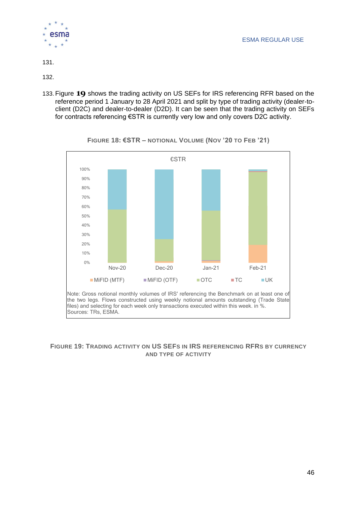

131[.](#page-45-1)

[132.](#page-45-1)

133. [Figure](#page-45-1) **19** shows the trading activity on US SEFs for IRS referencing RFR based on the reference period 1 January to 28 April 2021 and split by type of trading activity (dealer-toclient (D2C) and dealer-to-dealer (D2D). It can be seen that the trading activity on SEFs for contracts referencing €STR is currently very low and only covers D2C activity.

<span id="page-45-0"></span>

<span id="page-45-1"></span>**FIGURE 18: €STR – NOTIONAL VOLUME (NOV '20 TO FEB '21)**

### <span id="page-45-2"></span>**FIGURE 19: TRADING ACTIVITY ON US SEFS IN IRS REFERENCING RFRS BY CURRENCY AND TYPE OF ACTIVITY**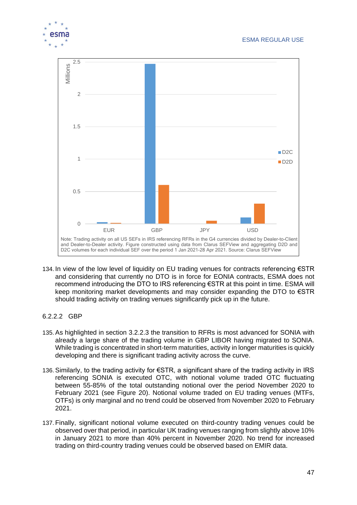

- 134. In view of the low level of liquidity on EU trading venues for contracts referencing €STR and considering that currently no DTO is in force for EONIA contracts, ESMA does not recommend introducing the DTO to IRS referencing €STR at this point in time. ESMA will keep monitoring market developments and may consider expanding the DTO to €STR should trading activity on trading venues significantly pick up in the future.
- <span id="page-46-0"></span>6.2.2.2 GBP
- 135.As highlighted in section [3.2.2.3](#page-23-0) the transition to RFRs is most advanced for SONIA with already a large share of the trading volume in GBP LIBOR having migrated to SONIA. While trading is concentrated in short-term maturities, activity in longer maturities is quickly developing and there is significant trading activity across the curve.
- 136.Similarly, to the trading activity for €STR, a significant share of the trading activity in IRS referencing SONIA is executed OTC, with notional volume traded OTC fluctuating between 55-85% of the total outstanding notional over the period November 2020 to February 2021 (see [Figure 20\)](#page-47-1). Notional volume traded on EU trading venues (MTFs, OTFs) is only marginal and no trend could be observed from November 2020 to February 2021.
- 137. Finally, significant notional volume executed on third-country trading venues could be observed over that period, in particular UK trading venues ranging from slightly above 10% in January 2021 to more than 40% percent in November 2020. No trend for increased trading on third-country trading venues could be observed based on EMIR data.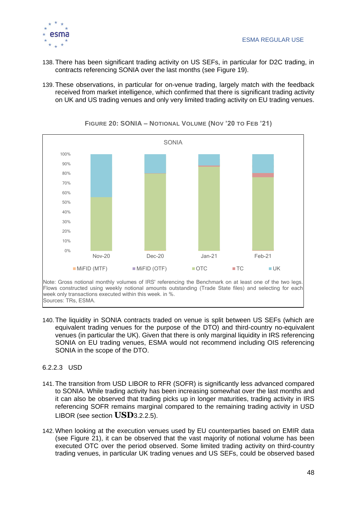

- 138. There has been significant trading activity on US SEFs, in particular for D2C trading, in contracts referencing SONIA over the last months (see [Figure 19\)](#page-45-2).
- 139. These observations, in particular for on-venue trading, largely match with the feedback received from market intelligence, which confirmed that there is significant trading activity on UK and US trading venues and only very limited trading activity on EU trading venues.

<span id="page-47-1"></span>

**FIGURE 20: SONIA – NOTIONAL VOLUME (NOV '20 TO FEB '21)**

- 140. The liquidity in SONIA contracts traded on venue is split between US SEFs (which are equivalent trading venues for the purpose of the DTO) and third-country no-equivalent venues (in particular the UK). Given that there is only marginal liquidity in IRS referencing SONIA on EU trading venues, ESMA would not recommend including OIS referencing SONIA in the scope of the DTO.
- <span id="page-47-0"></span>6.2.2.3 USD
- 141. The transition from USD LIBOR to RFR (SOFR) is significantly less advanced compared to SONIA. While trading activity has been increasing somewhat over the last months and it can also be observed that trading picks up in longer maturities, trading activity in IRS referencing SOFR remains marginal compared to the remaining trading activity in USD LIBOR (see section **[USD](#page-26-0)**[3.2.2.5\)](#page-26-0).
- 142. When looking at the execution venues used by EU counterparties based on EMIR data (see [Figure 21\)](#page-48-0), it can be observed that the vast majority of notional volume has been executed OTC over the period observed. Some limited trading activity on third-country trading venues, in particular UK trading venues and US SEFs, could be observed based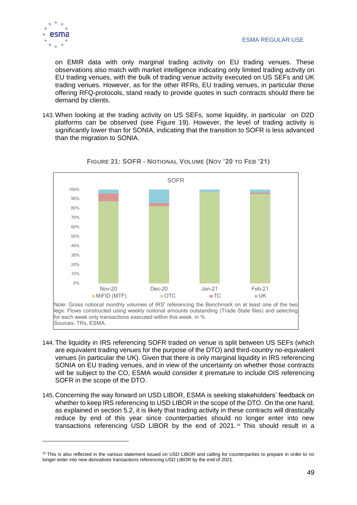

on EMIR data with only marginal trading activity on EU trading venues. These observations also match with market intelligence indicating only limited trading activity on EU trading venues, with the bulk of trading venue activity executed on US SEFs and UK trading venues. However, as for the other RFRs, EU trading venues, in particular those offering RFQ-protocols, stand ready to provide quotes in such contracts should there be demand by clients.

143. When looking at the trading activity on US SEFs, some liquidity, in particular on D2D platforms can be observed (see [Figure 19\)](#page-45-2). However, the level of trading activity is significantly lower than for SONIA, indicating that the transition to SOFR is less advanced than the migration to SONIA.

<span id="page-48-0"></span>

### **FIGURE 21: SOFR - NOTIONAL VOLUME (NOV '20 TO FEB '21)**

- 144. The liquidity in IRS referencing SOFR traded on venue is split between US SEFs (which are equivalent trading venues for the purpose of the DTO) and third-country no-equivalent venues (in particular the UK). Given that there is only marginal liquidity in IRS referencing SONIA on EU trading venues, and in view of the uncertainty on whether those contracts will be subject to the CO, ESMA would consider it premature to include OIS referencing SOFR in the scope of the DTO.
- 145. Concerning the way forward on USD LIBOR, ESMA is seeking stakeholders' feedback on whether to keep IRS referencing to USD LIBOR in the scope of the DTO. On the one hand, as explained in section [5.2,](#page-31-0) it is likely that trading activity in these contracts will drastically reduce by end of this year since counterparties should no longer enter into new transactions referencing USD LIBOR by the end of  $2021$ .<sup>33</sup> This should result in a

<sup>&</sup>lt;sup>33</sup> This is also reflected in the various statement issued on USD LIBOR and calling for counterparties to prepare in order to no longer enter into new derivatives transactions referencing USD LIBOR by the end of 2021.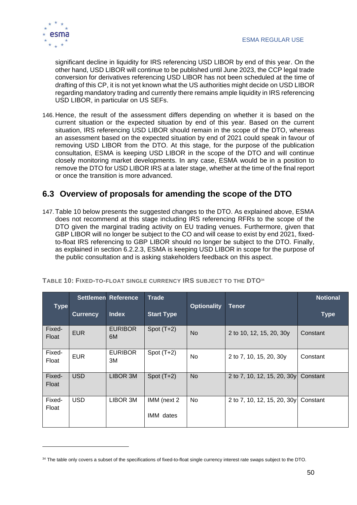

significant decline in liquidity for IRS referencing USD LIBOR by end of this year. On the other hand, USD LIBOR will continue to be published until June 2023, the CCP legal trade conversion for derivatives referencing USD LIBOR has not been scheduled at the time of drafting of this CP, it is not yet known what the US authorities might decide on USD LIBOR regarding mandatory trading and currently there remains ample liquidity in IRS referencing USD LIBOR, in particular on US SEFs.

146. Hence, the result of the assessment differs depending on whether it is based on the current situation or the expected situation by end of this year. Based on the current situation, IRS referencing USD LIBOR should remain in the scope of the DTO, whereas an assessment based on the expected situation by end of 2021 could speak in favour of removing USD LIBOR from the DTO. At this stage, for the purpose of the publication consultation, ESMA is keeping USD LIBOR in the scope of the DTO and will continue closely monitoring market developments. In any case, ESMA would be in a position to remove the DTO for USD LIBOR IRS at a later stage, whether at the time of the final report or once the transition is more advanced.

### <span id="page-49-0"></span>**6.3 Overview of proposals for amending the scope of the DTO**

147. [Table 10](#page-49-1) below presents the suggested changes to the DTO. As explained above, ESMA does not recommend at this stage including IRS referencing RFRs to the scope of the DTO given the marginal trading activity on EU trading venues. Furthermore, given that GBP LIBOR will no longer be subject to the CO and will cease to exist by end 2021, fixedto-float IRS referencing to GBP LIBOR should no longer be subject to the DTO. Finally, as explained in section 6.2.2.3, ESMA is keeping USD LIBOR in scope for the purpose of the public consultation and is asking stakeholders feedback on this aspect.

| <b>Type</b>     |                 | <b>Settlemen Reference</b> | <b>Trade</b>             | <b>Optionality</b> | <b>Tenor</b>                | <b>Notional</b> |
|-----------------|-----------------|----------------------------|--------------------------|--------------------|-----------------------------|-----------------|
|                 | <b>Currency</b> | <b>Index</b>               | <b>Start Type</b>        |                    |                             | <b>Type</b>     |
| Fixed-<br>Float | <b>EUR</b>      | <b>EURIBOR</b><br>6M       | Spot $(T+2)$             | <b>No</b>          | 2 to 10, 12, 15, 20, 30y    | Constant        |
| Fixed-<br>Float | <b>EUR</b>      | <b>EURIBOR</b><br>3M       | Spot $(T+2)$             | No                 | 2 to 7, 10, 15, 20, 30y     | Constant        |
| Fixed-<br>Float | <b>USD</b>      | LIBOR 3M                   | Spot $(T+2)$             | <b>No</b>          | 2 to 7, 10, 12, 15, 20, 30y | Constant        |
| Fixed-<br>Float | <b>USD</b>      | LIBOR 3M                   | IMM (next 2<br>IMM dates | No                 | 2 to 7, 10, 12, 15, 20, 30y | Constant        |

<span id="page-49-1"></span>**TABLE 10: FIXED-TO-FLOAT SINGLE CURRENCY IRS SUBJECT TO THE DTO<sup>34</sup>**

<sup>&</sup>lt;sup>34</sup> The table only covers a subset of the specifications of fixed-to-float single currency interest rate swaps subject to the DTO.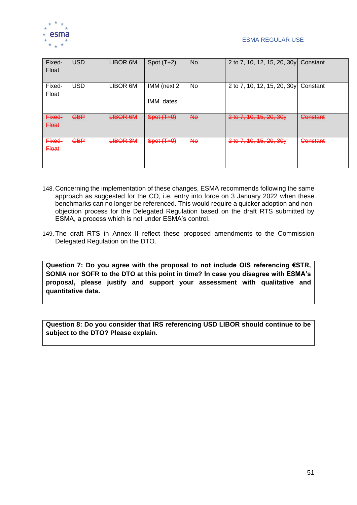

| Fixed-<br>Float        | <b>USD</b> | LIBOR 6M        | Spot $(T+2)$             | <b>No</b> | 2 to 7, 10, 12, 15, 20, 30y Constant |          |
|------------------------|------------|-----------------|--------------------------|-----------|--------------------------------------|----------|
| Fixed-<br>Float        | <b>USD</b> | LIBOR 6M        | IMM (next 2<br>IMM dates | No        | 2 to 7, 10, 12, 15, 20, 30y Constant |          |
| Fixed-<br><b>Eloat</b> | <b>GBP</b> | <b>LIBOR 6M</b> | Spot (T+0)               | <b>No</b> | 2 to 7, 10, 15, 20, 30y              | Constant |
| Fixed-<br><b>Float</b> | <b>GBP</b> | <b>LIBOR 3M</b> | Spot (T+0)               | <b>No</b> | 2 to 7, 10, 15, 20, 30y              | Constant |

- 148. Concerning the implementation of these changes, ESMA recommends following the same approach as suggested for the CO, i.e. entry into force on 3 January 2022 when these benchmarks can no longer be referenced. This would require a quicker adoption and nonobjection process for the Delegated Regulation based on the draft RTS submitted by ESMA, a process which is not under ESMA's control.
- 149. The draft RTS in Annex II reflect these proposed amendments to the Commission Delegated Regulation on the DTO.

**Question 7: Do you agree with the proposal to not include OIS referencing €STR, SONIA nor SOFR to the DTO at this point in time? In case you disagree with ESMA's proposal, please justify and support your assessment with qualitative and quantitative data.** 

**Question 8: Do you consider that IRS referencing USD LIBOR should continue to be subject to the DTO? Please explain.**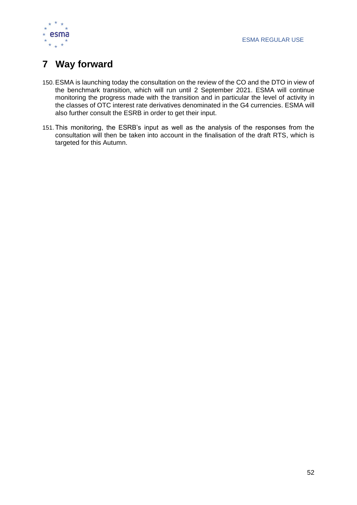

# <span id="page-51-0"></span>**7 Way forward**

- 150.ESMA is launching today the consultation on the review of the CO and the DTO in view of the benchmark transition, which will run until 2 September 2021. ESMA will continue monitoring the progress made with the transition and in particular the level of activity in the classes of OTC interest rate derivatives denominated in the G4 currencies. ESMA will also further consult the ESRB in order to get their input.
- 151. This monitoring, the ESRB's input as well as the analysis of the responses from the consultation will then be taken into account in the finalisation of the draft RTS, which is targeted for this Autumn.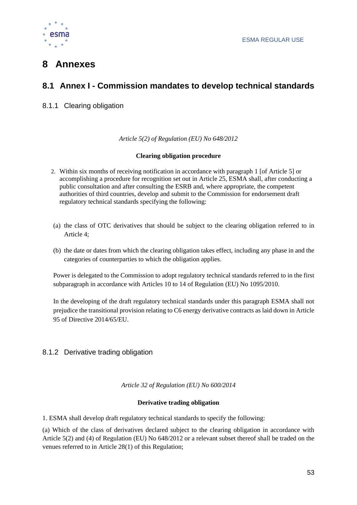

# <span id="page-52-0"></span>**8 Annexes**

### <span id="page-52-1"></span>**8.1 Annex I - Commission mandates to develop technical standards**

### <span id="page-52-2"></span>8.1.1 Clearing obligation

*Article 5(2) of Regulation (EU) No 648/2012*

### **Clearing obligation procedure**

- 2. Within six months of receiving notification in accordance with paragraph 1 [of Article 5] or accomplishing a procedure for recognition set out in Article 25, ESMA shall, after conducting a public consultation and after consulting the ESRB and, where appropriate, the competent authorities of third countries, develop and submit to the Commission for endorsement draft regulatory technical standards specifying the following:
- (a) the class of OTC derivatives that should be subject to the clearing obligation referred to in Article 4;
- (b) the date or dates from which the clearing obligation takes effect, including any phase in and the categories of counterparties to which the obligation applies.

Power is delegated to the Commission to adopt regulatory technical standards referred to in the first subparagraph in accordance with Articles 10 to 14 of Regulation (EU) No 1095/2010.

In the developing of the draft regulatory technical standards under this paragraph ESMA shall not prejudice the transitional provision relating to C6 energy derivative contracts as laid down in Article 95 of Directive 2014/65/EU.

### <span id="page-52-3"></span>8.1.2 Derivative trading obligation

*Article 32 of Regulation (EU) No 600/2014*

### **Derivative trading obligation**

1. ESMA shall develop draft regulatory technical standards to specify the following:

(a) Which of the class of derivatives declared subject to the clearing obligation in accordance with Article 5(2) and (4) of Regulation (EU) No 648/2012 or a relevant subset thereof shall be traded on the venues referred to in Article 28(1) of this Regulation;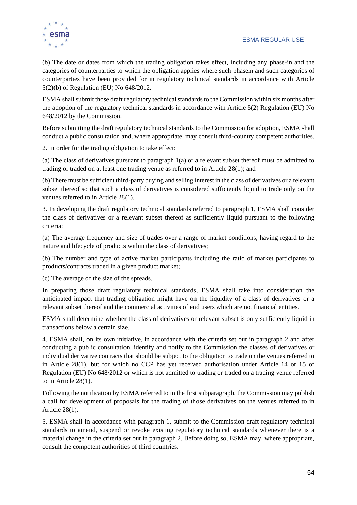

(b) The date or dates from which the trading obligation takes effect, including any phase-in and the categories of counterparties to which the obligation applies where such phasein and such categories of counterparties have been provided for in regulatory technical standards in accordance with Article 5(2)(b) of Regulation (EU) No 648/2012.

ESMA shall submit those draft regulatory technical standards to the Commission within six months after the adoption of the regulatory technical standards in accordance with Article 5(2) Regulation (EU) No 648/2012 by the Commission.

Before submitting the draft regulatory technical standards to the Commission for adoption, ESMA shall conduct a public consultation and, where appropriate, may consult third-country competent authorities.

2. In order for the trading obligation to take effect:

(a) The class of derivatives pursuant to paragraph 1(a) or a relevant subset thereof must be admitted to trading or traded on at least one trading venue as referred to in Article 28(1); and

(b) There must be sufficient third-party buying and selling interest in the class of derivatives or a relevant subset thereof so that such a class of derivatives is considered sufficiently liquid to trade only on the venues referred to in Article 28(1).

3. In developing the draft regulatory technical standards referred to paragraph 1, ESMA shall consider the class of derivatives or a relevant subset thereof as sufficiently liquid pursuant to the following criteria:

(a) The average frequency and size of trades over a range of market conditions, having regard to the nature and lifecycle of products within the class of derivatives;

(b) The number and type of active market participants including the ratio of market participants to products/contracts traded in a given product market;

(c) The average of the size of the spreads.

In preparing those draft regulatory technical standards, ESMA shall take into consideration the anticipated impact that trading obligation might have on the liquidity of a class of derivatives or a relevant subset thereof and the commercial activities of end users which are not financial entities.

ESMA shall determine whether the class of derivatives or relevant subset is only sufficiently liquid in transactions below a certain size.

4. ESMA shall, on its own initiative, in accordance with the criteria set out in paragraph 2 and after conducting a public consultation, identify and notify to the Commission the classes of derivatives or individual derivative contracts that should be subject to the obligation to trade on the venues referred to in Article 28(1), but for which no CCP has yet received authorisation under Article 14 or 15 of Regulation (EU) No 648/2012 or which is not admitted to trading or traded on a trading venue referred to in Article 28(1).

Following the notification by ESMA referred to in the first subparagraph, the Commission may publish a call for development of proposals for the trading of those derivatives on the venues referred to in Article 28(1).

5. ESMA shall in accordance with paragraph 1, submit to the Commission draft regulatory technical standards to amend, suspend or revoke existing regulatory technical standards whenever there is a material change in the criteria set out in paragraph 2. Before doing so, ESMA may, where appropriate, consult the competent authorities of third countries.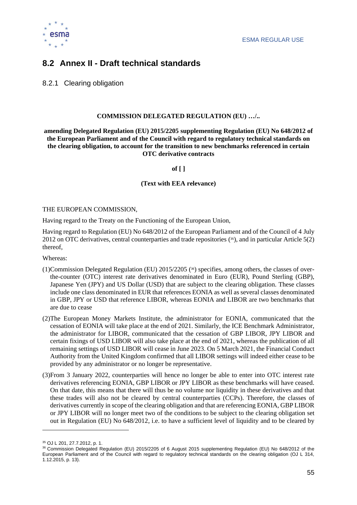

### <span id="page-54-0"></span>**8.2 Annex II - Draft technical standards**

<span id="page-54-1"></span>8.2.1 Clearing obligation

### **COMMISSION DELEGATED REGULATION (EU) …/..**

**amending Delegated Regulation (EU) 2015/2205 supplementing Regulation (EU) No 648/2012 of the European Parliament and of the Council with regard to regulatory technical standards on the clearing obligation, to account for the transition to new benchmarks referenced in certain OTC derivative contracts**

**of [ ]**

**(Text with EEA relevance)**

#### THE EUROPEAN COMMISSION,

Having regard to the Treaty on the Functioning of the European Union,

Having regard to Regulation (EU) No 648/2012 of the European Parliament and of the Council of 4 July 2012 on OTC derivatives, central counterparties and trade repositories ( <sup>35</sup>), and in particular Article 5(2) thereof,

Whereas:

- (1)Commission Delegated Regulation (EU) 2015/2205 ( <sup>36</sup>) specifies, among others, the classes of overthe-counter (OTC) interest rate derivatives denominated in Euro (EUR), Pound Sterling (GBP), Japanese Yen (JPY) and US Dollar (USD) that are subject to the clearing obligation. These classes include one class denominated in EUR that references EONIA as well as several classes denominated in GBP, JPY or USD that reference LIBOR, whereas EONIA and LIBOR are two benchmarks that are due to cease
- (2)The European Money Markets Institute, the administrator for EONIA, communicated that the cessation of EONIA will take place at the end of 2021. Similarly, the ICE Benchmark Administrator, the administrator for LIBOR, communicated that the cessation of GBP LIBOR, JPY LIBOR and certain fixings of USD LIBOR will also take place at the end of 2021, whereas the publication of all remaining settings of USD LIBOR will cease in June 2023. On 5 March 2021, the Financial Conduct Authority from the United Kingdom confirmed that all LIBOR settings will indeed either cease to be provided by any administrator or no longer be representative.
- (3)From 3 January 2022, counterparties will hence no longer be able to enter into OTC interest rate derivatives referencing EONIA, GBP LIBOR or JPY LIBOR as these benchmarks will have ceased. On that date, this means that there will thus be no volume nor liquidity in these derivatives and that these trades will also not be cleared by central counterparties (CCPs). Therefore, the classes of derivatives currently in scope of the clearing obligation and that are referencing EONIA, GBP LIBOR or JPY LIBOR will no longer meet two of the conditions to be subject to the clearing obligation set out in Regulation (EU) No 648/2012, i.e. to have a sufficient level of liquidity and to be cleared by

<sup>35</sup> OJ L 201, 27.7.2012, p. 1.

<sup>36</sup> Commission Delegated Regulation (EU) 2015/2205 of 6 August 2015 supplementing Regulation (EU) No 648/2012 of the European Parliament and of the Council with regard to regulatory technical standards on the clearing obligation (OJ L 314, 1.12.2015, p. 13).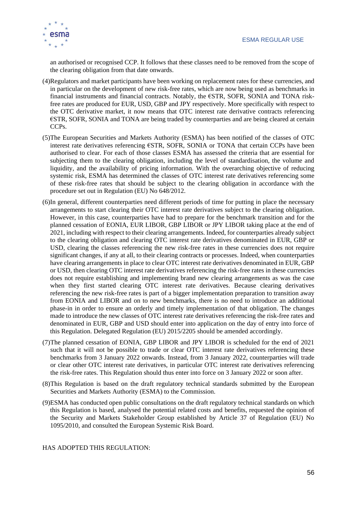

an authorised or recognised CCP. It follows that these classes need to be removed from the scope of the clearing obligation from that date onwards.

- (4)Regulators and market participants have been working on replacement rates for these currencies, and in particular on the development of new risk-free rates, which are now being used as benchmarks in financial instruments and financial contracts. Notably, the €STR, SOFR, SONIA and TONA riskfree rates are produced for EUR, USD, GBP and JPY respectively. More specifically with respect to the OTC derivative market, it now means that OTC interest rate derivative contracts referencing €STR, SOFR, SONIA and TONA are being traded by counterparties and are being cleared at certain CCPs.
- (5)The European Securities and Markets Authority (ESMA) has been notified of the classes of OTC interest rate derivatives referencing €STR, SOFR, SONIA or TONA that certain CCPs have been authorised to clear. For each of those classes ESMA has assessed the criteria that are essential for subjecting them to the clearing obligation, including the level of standardisation, the volume and liquidity, and the availability of pricing information. With the overarching objective of reducing systemic risk, ESMA has determined the classes of OTC interest rate derivatives referencing some of these risk-free rates that should be subject to the clearing obligation in accordance with the procedure set out in Regulation (EU) No 648/2012.
- (6)In general, different counterparties need different periods of time for putting in place the necessary arrangements to start clearing their OTC interest rate derivatives subject to the clearing obligation. However, in this case, counterparties have had to prepare for the benchmark transition and for the planned cessation of EONIA, EUR LIBOR, GBP LIBOR or JPY LIBOR taking place at the end of 2021, including with respect to their clearing arrangements. Indeed, for counterparties already subject to the clearing obligation and clearing OTC interest rate derivatives denominated in EUR, GBP or USD, clearing the classes referencing the new risk-free rates in these currencies does not require significant changes, if any at all, to their clearing contracts or processes. Indeed, when counterparties have clearing arrangements in place to clear OTC interest rate derivatives denominated in EUR, GBP or USD, then clearing OTC interest rate derivatives referencing the risk-free rates in these currencies does not require establishing and implementing brand new clearing arrangements as was the case when they first started clearing OTC interest rate derivatives. Because clearing derivatives referencing the new risk-free rates is part of a bigger implementation preparation to transition away from EONIA and LIBOR and on to new benchmarks, there is no need to introduce an additional phase-in in order to ensure an orderly and timely implementation of that obligation. The changes made to introduce the new classes of OTC interest rate derivatives referencing the risk-free rates and denominated in EUR, GBP and USD should enter into application on the day of entry into force of this Regulation. Delegated Regulation (EU) 2015/2205 should be amended accordingly.
- (7)The planned cessation of EONIA, GBP LIBOR and JPY LIBOR is scheduled for the end of 2021 such that it will not be possible to trade or clear OTC interest rate derivatives referencing these benchmarks from 3 January 2022 onwards. Instead, from 3 January 2022, counterparties will trade or clear other OTC interest rate derivatives, in particular OTC interest rate derivatives referencing the risk-free rates. This Regulation should thus enter into force on 3 January 2022 or soon after.
- (8)This Regulation is based on the draft regulatory technical standards submitted by the European Securities and Markets Authority (ESMA) to the Commission.
- (9)ESMA has conducted open public consultations on the draft regulatory technical standards on which this Regulation is based, analysed the potential related costs and benefits, requested the opinion of the Security and Markets Stakeholder Group established by Article 37 of Regulation (EU) No 1095/2010, and consulted the European Systemic Risk Board.

### HAS ADOPTED THIS REGULATION: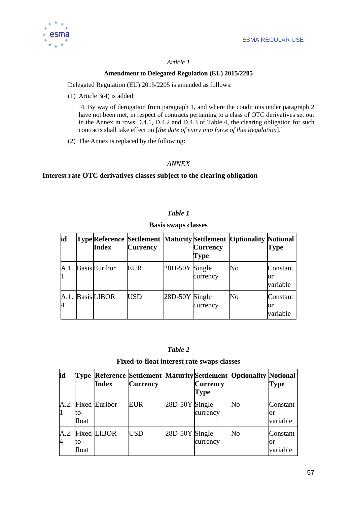

### *Article 1*

### **Amendment to Delegated Regulation (EU) 2015/2205**

Delegated Regulation (EU) 2015/2205 is amended as follows:

(1) Article 3(4) is added:

'4. By way of derogation from paragraph 1, and where the conditions under paragraph 2 have not been met, in respect of contracts pertaining to a class of OTC derivatives set out in the Annex in rows D.4.1, D.4.2 and D.4.3 of Table 4, the clearing obligation for such contracts shall take effect on [*the date of entry into force of this Regulation*].'

(2) The Annex is replaced by the following:

### *ANNEX*

### **Interest rate OTC derivatives classes subject to the clearing obligation**

### *Table 1*

#### **Basis swaps classes**

| id | <b>Index</b>       | <b>Currency</b> |                | <b>Currency</b><br>Type | <b>Type Reference Settlement Maturity Settlement Optionality Notional</b> | Type                       |
|----|--------------------|-----------------|----------------|-------------------------|---------------------------------------------------------------------------|----------------------------|
|    | A.1. Basis Euribor | EUR             | 28D-50Y Single | currency                | No                                                                        | Constant<br>or<br>variable |
|    | A.1. Basis LIBOR   | <b>USD</b>      | 28D-50Y Single | currency                | No                                                                        | Constant<br>or<br>variable |

### *Table 2*

#### **Fixed-to-float interest rate swaps classes**

| id |              | <b>Index</b>       | <b>Currency</b> |                | <b>Currency</b><br> Type | <b>Type Reference Settlement Maturity Settlement Optionality Notional</b> | <b>Type</b>                |
|----|--------------|--------------------|-----------------|----------------|--------------------------|---------------------------------------------------------------------------|----------------------------|
|    | to-<br>float | A.2. Fixed-Euribor | EUR             | 28D-50Y Single | currency                 | No                                                                        | Constant<br>Юľ<br>variable |
| 4  | to-<br>float | A.2. Fixed-LIBOR   | <b>USD</b>      | 28D-50Y Single | currency                 | No.                                                                       | Constant<br>Юr<br>variable |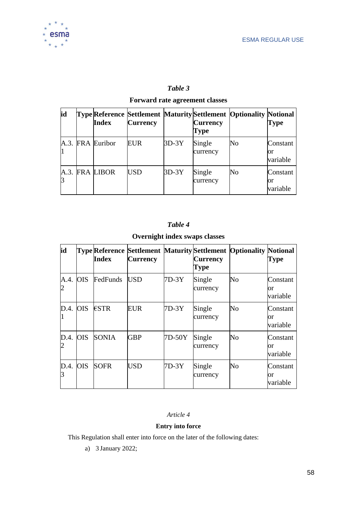

### *Table 3*

### **Forward rate agreement classes**

| id | Index            | <b>Currency</b> |         | <b>Currency</b><br><b>Type</b> | <b>Type Reference Settlement Maturity Settlement Optionality Notional</b> | <b>Type</b>                |
|----|------------------|-----------------|---------|--------------------------------|---------------------------------------------------------------------------|----------------------------|
|    | A.3. FRA Euribor | EUR             | $3D-3Y$ | Single<br>currency             | No                                                                        | Constant<br>or<br>variable |
|    | A.3. FRA LIBOR   | USD             | $3D-3Y$ | Single<br>currency             | No                                                                        | Constant<br>or<br>variable |

### *Table 4*

### **Overnight index swaps classes**

| id         |            | Index        | <b>Currency</b> |         | <b>Currency</b><br>Type | <b>Type Reference Settlement Maturity Settlement Optionality Notional</b> | Type                              |
|------------|------------|--------------|-----------------|---------|-------------------------|---------------------------------------------------------------------------|-----------------------------------|
| $A.4.$ OIS |            | FedFunds     | <b>USD</b>      | $7D-3Y$ | Single<br>currency      | No                                                                        | Constant<br>or<br>variable        |
| D.4.       | <b>OIS</b> | €STR         | EUR             | $7D-3Y$ | Single<br>currency      | No                                                                        | Constant<br>or<br>variable        |
| D.4.       | <b>OIS</b> | <b>SONIA</b> | <b>GBP</b>      | 7D-50Y  | Single<br>currency      | N <sub>o</sub>                                                            | Constant<br><b>or</b><br>variable |
| $D.4.$ OIS |            | <b>SOFR</b>  | <b>USD</b>      | $7D-3Y$ | Single<br>currency      | No                                                                        | Constant<br>or<br>variable        |

### *Article 4*

### **Entry into force**

This Regulation shall enter into force on the later of the following dates:

a) 3 January 2022;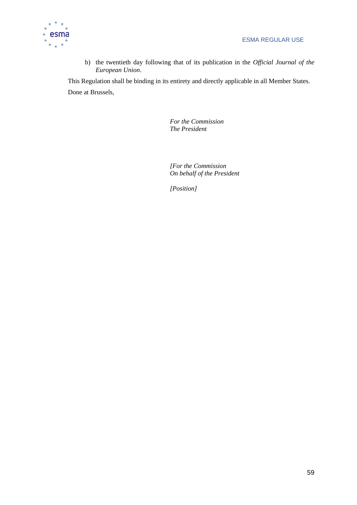

b) the twentieth day following that of its publication in the *Official Journal of the European Union*.

This Regulation shall be binding in its entirety and directly applicable in all Member States. Done at Brussels,

> *For the Commission The President*

*[For the Commission On behalf of the President*

*[Position]*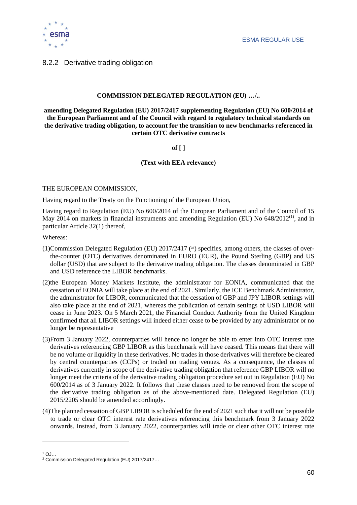

### <span id="page-59-0"></span>8.2.2 Derivative trading obligation

### **COMMISSION DELEGATED REGULATION (EU) …/..**

**amending Delegated Regulation (EU) 2017/2417 supplementing Regulation (EU) No 600/2014 of the European Parliament and of the Council with regard to regulatory technical standards on the derivative trading obligation, to account for the transition to new benchmarks referenced in certain OTC derivative contracts**

### **of [ ]**

#### **(Text with EEA relevance)**

#### THE EUROPEAN COMMISSION,

Having regard to the Treaty on the Functioning of the European Union,

Having regard to Regulation (EU) No 600/2014 of the European Parliament and of the Council of 15 May 2014 on markets in financial instruments and amending Regulation (EU) No  $648/2012^{(1)}$ , and in particular Article 32(1) thereof,

Whereas:

- (1)Commission Delegated Regulation (EU) 2017/2417 ( 37) specifies, among others, the classes of overthe-counter (OTC) derivatives denominated in EURO (EUR), the Pound Sterling (GBP) and US dollar (USD) that are subject to the derivative trading obligation. The classes denominated in GBP and USD reference the LIBOR benchmarks.
- (2)the European Money Markets Institute, the administrator for EONIA, communicated that the cessation of EONIA will take place at the end of 2021. Similarly, the ICE Benchmark Administrator, the administrator for LIBOR, communicated that the cessation of GBP and JPY LIBOR settings will also take place at the end of 2021, whereas the publication of certain settings of USD LIBOR will cease in June 2023. On 5 March 2021, the Financial Conduct Authority from the United Kingdom confirmed that all LIBOR settings will indeed either cease to be provided by any administrator or no longer be representative
- (3)From 3 January 2022, counterparties will hence no longer be able to enter into OTC interest rate derivatives referencing GBP LIBOR as this benchmark will have ceased. This means that there will be no volume or liquidity in these derivatives. No trades in those derivatives will therefore be cleared by central counterparties (CCPs) or traded on trading venues. As a consequence, the classes of derivatives currently in scope of the derivative trading obligation that reference GBP LIBOR will no longer meet the criteria of the derivative trading obligation procedure set out in Regulation (EU) No 600/2014 as of 3 January 2022. It follows that these classes need to be removed from the scope of the derivative trading obligation as of the above-mentioned date. Delegated Regulation (EU) 2015/2205 should be amended accordingly.
- (4)The planned cessation of GBP LIBOR is scheduled for the end of 2021 such that it will not be possible to trade or clear OTC interest rate derivatives referencing this benchmark from 3 January 2022 onwards. Instead, from 3 January 2022, counterparties will trade or clear other OTC interest rate

 $1$  OJ…

<sup>2</sup> Commission Delegated Regulation (EU) 2017/2417…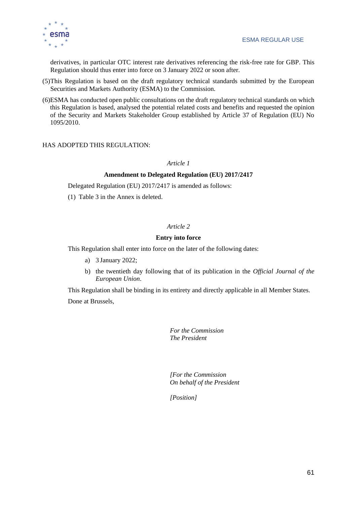derivatives, in particular OTC interest rate derivatives referencing the risk-free rate for GBP. This Regulation should thus enter into force on 3 January 2022 or soon after.

- (5)This Regulation is based on the draft regulatory technical standards submitted by the European Securities and Markets Authority (ESMA) to the Commission.
- (6)ESMA has conducted open public consultations on the draft regulatory technical standards on which this Regulation is based, analysed the potential related costs and benefits and requested the opinion of the Security and Markets Stakeholder Group established by Article 37 of Regulation (EU) No 1095/2010.

### HAS ADOPTED THIS REGULATION:

#### *Article 1*

#### **Amendment to Delegated Regulation (EU) 2017/2417**

Delegated Regulation (EU) 2017/2417 is amended as follows:

(1) Table 3 in the Annex is deleted.

### *Article 2*

#### **Entry into force**

This Regulation shall enter into force on the later of the following dates:

- a) 3 January 2022;
- b) the twentieth day following that of its publication in the *Official Journal of the European Union*.

This Regulation shall be binding in its entirety and directly applicable in all Member States.

Done at Brussels,

*For the Commission The President*

*[For the Commission On behalf of the President*

*[Position]*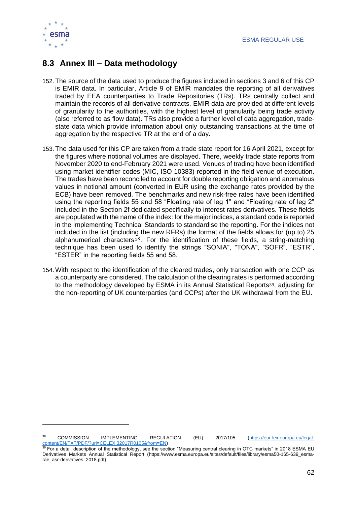

### <span id="page-61-0"></span>**8.3 Annex III – Data methodology**

- 152. The source of the data used to produce the figures included in sections 3 and 6 of this CP is EMIR data. In particular, Article 9 of EMIR mandates the reporting of all derivatives traded by EEA counterparties to Trade Repositories (TRs). TRs centrally collect and maintain the records of all derivative contracts. EMIR data are provided at different levels of granularity to the authorities, with the highest level of granularity being trade activity (also referred to as flow data). TRs also provide a further level of data aggregation, tradestate data which provide information about only outstanding transactions at the time of aggregation by the respective TR at the end of a day.
- 153. The data used for this CP are taken from a trade state report for 16 April 2021, except for the figures where notional volumes are displayed. There, weekly trade state reports from November 2020 to end-February 2021 were used. Venues of trading have been identified using market identifier codes (MIC, ISO 10383) reported in the field venue of execution. The trades have been reconciled to account for double reporting obligation and anomalous values in notional amount (converted in EUR using the exchange rates provided by the ECB) have been removed. The benchmarks and new risk-free rates have been identified using the reporting fields 55 and 58 "Floating rate of leg 1" and "Floating rate of leg 2" included in the Section 2f dedicated specifically to interest rates derivatives. These fields are populated with the name of the index: for the major indices, a standard code is reported in the Implementing Technical Standards to standardise the reporting. For the indices not included in the list (including the new RFRs) the format of the fields allows for (up to) 25 alphanumerical characters  $38$ . For the identification of these fields, a string-matching technique has been used to identify the strings "SONIA", "TONA", "SOFR", "ESTR", "ESTER" in the reporting fields 55 and 58.
- 154. With respect to the identification of the cleared trades, only transaction with one CCP as a counterparty are considered. The calculation of the clearing rates is performed according to the methodology developed by ESMA in its Annual Statistical Reports39, adjusting for the non-reporting of UK counterparties (and CCPs) after the UK withdrawal from the EU.

<sup>&</sup>lt;sup>38</sup> COMMISSION IMPLEMENTING REGULATION (EU) 2017/105 [\(https://eur-lex.europa.eu/legal](https://eur-lex.europa.eu/legal-content/EN/TXT/PDF/?uri=CELEX:32017R0105&from=EN)[content/EN/TXT/PDF/?uri=CELEX:32017R0105&from=EN\)](https://eur-lex.europa.eu/legal-content/EN/TXT/PDF/?uri=CELEX:32017R0105&from=EN)

 $39$  For a detail description of the methodology, see the section "Measuring central clearing in OTC markets" in 2018 ESMA EU Derivatives Markets Annual Statistical Report (https://www.esma.europa.eu/sites/default/files/library/esma50-165-639\_esmarae\_asr-derivatives\_2018.pdf)